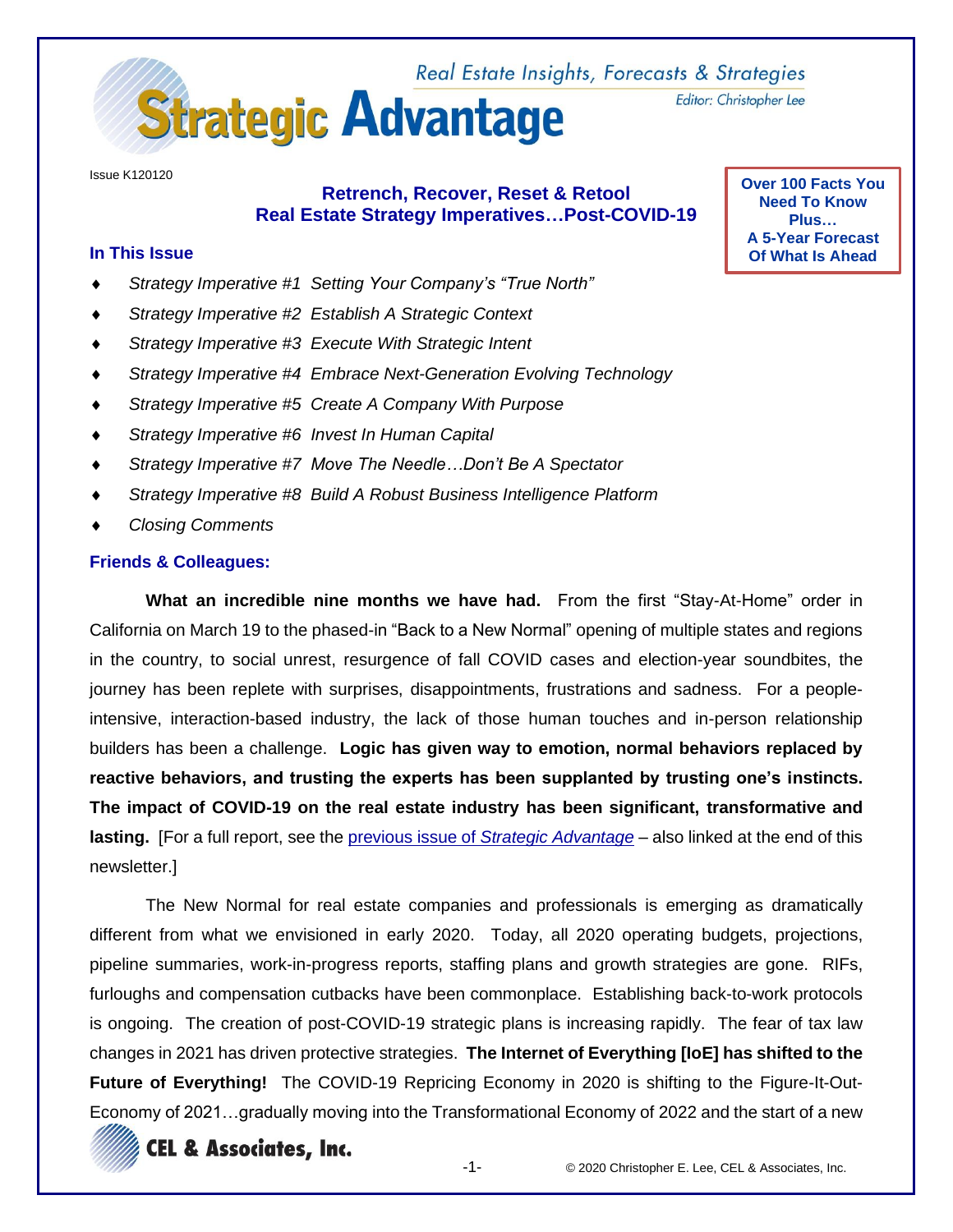

Issue K120120

# **Retrench, Recover, Reset & Retool Real Estate Strategy Imperatives…Post-COVID-19**

#### **In This Issue**

- *Strategy Imperative #1 Setting Your Company's "True North"*
- *Strategy Imperative #2 Establish A Strategic Context*
- *Strategy Imperative #3 Execute With Strategic Intent*
- *Strategy Imperative #4 Embrace Next-Generation Evolving Technology*
- *Strategy Imperative #5 Create A Company With Purpose*
- *Strategy Imperative #6 Invest In Human Capital*
- *Strategy Imperative #7 Move The Needle…Don't Be A Spectator*
- *Strategy Imperative #8 Build A Robust Business Intelligence Platform*
- *Closing Comments*

#### **Friends & Colleagues:**

**What an incredible nine months we have had.** From the first "Stay-At-Home" order in California on March 19 to the phased-in "Back to a New Normal" opening of multiple states and regions in the country, to social unrest, resurgence of fall COVID cases and election-year soundbites, the journey has been replete with surprises, disappointments, frustrations and sadness. For a peopleintensive, interaction-based industry, the lack of those human touches and in-person relationship builders has been a challenge. **Logic has given way to emotion, normal behaviors replaced by reactive behaviors, and trusting the experts has been supplanted by trusting one's instincts. The impact of COVID-19 on the real estate industry has been significant, transformative and lasting.** [For a full report, see the previous issue of *[Strategic Advantage](http://www.celassociates.com/onlinenewsletter/2020-year-that-changed-everything-sa-k040320.pdf)* – also linked at the end of this newsletter.]

The New Normal for real estate companies and professionals is emerging as dramatically different from what we envisioned in early 2020. Today, all 2020 operating budgets, projections, pipeline summaries, work-in-progress reports, staffing plans and growth strategies are gone. RIFs, furloughs and compensation cutbacks have been commonplace. Establishing back-to-work protocols is ongoing. The creation of post-COVID-19 strategic plans is increasing rapidly. The fear of tax law changes in 2021 has driven protective strategies. **The Internet of Everything [IoE] has shifted to the Future of Everything!** The COVID-19 Repricing Economy in 2020 is shifting to the Figure-It-Out-Economy of 2021…gradually moving into the Transformational Economy of 2022 and the start of a new



Editor: Christopher Lee

**Over 100 Facts You Need To Know Plus… A 5-Year Forecast Of What Is Ahead**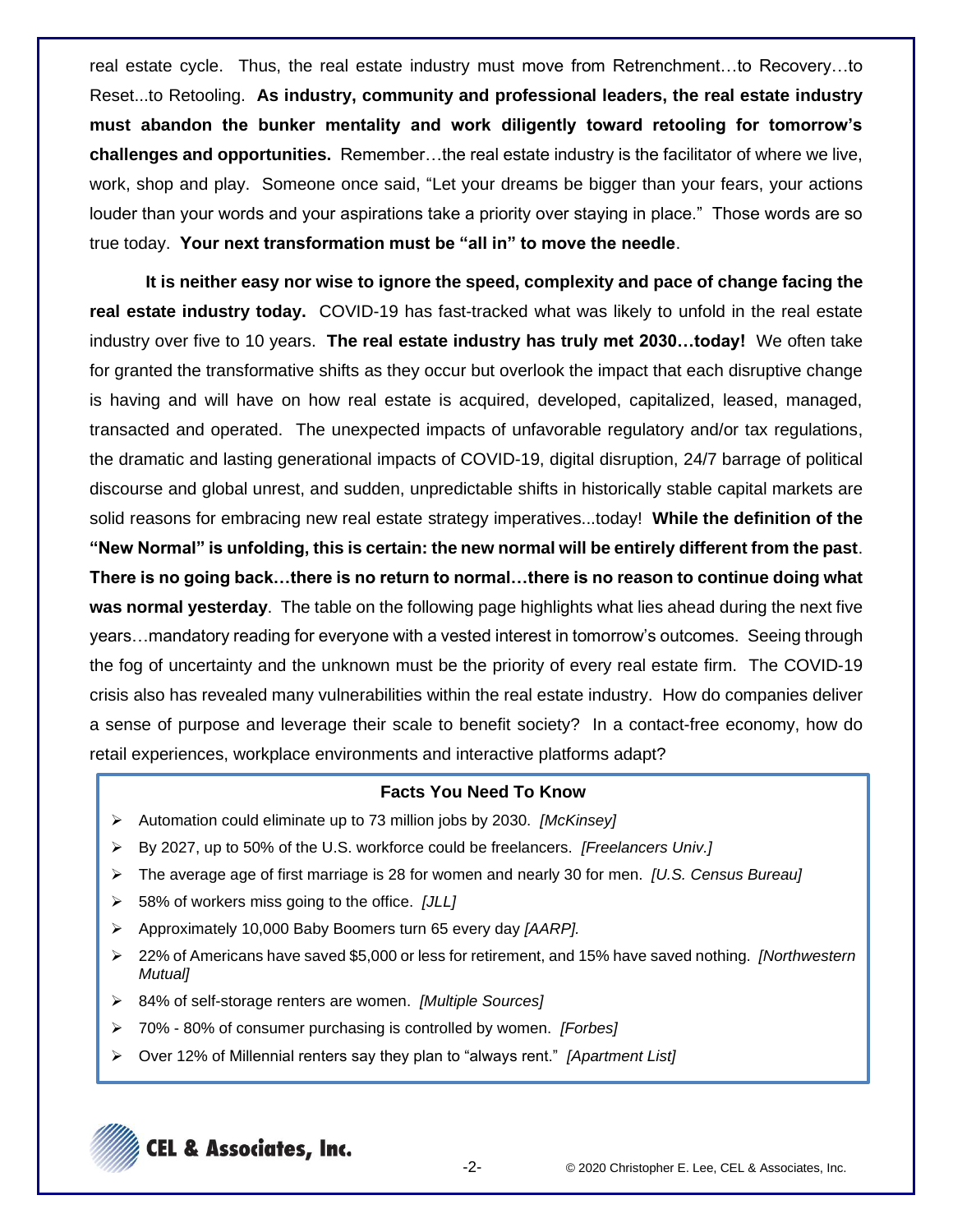real estate cycle. Thus, the real estate industry must move from Retrenchment…to Recovery…to Reset...to Retooling. **As industry, community and professional leaders, the real estate industry must abandon the bunker mentality and work diligently toward retooling for tomorrow's challenges and opportunities.** Remember…the real estate industry is the facilitator of where we live, work, shop and play. Someone once said, "Let your dreams be bigger than your fears, your actions louder than your words and your aspirations take a priority over staying in place." Those words are so true today. **Your next transformation must be "all in" to move the needle**.

**It is neither easy nor wise to ignore the speed, complexity and pace of change facing the real estate industry today.** COVID-19 has fast-tracked what was likely to unfold in the real estate industry over five to 10 years. **The real estate industry has truly met 2030…today!** We often take for granted the transformative shifts as they occur but overlook the impact that each disruptive change is having and will have on how real estate is acquired, developed, capitalized, leased, managed, transacted and operated. The unexpected impacts of unfavorable regulatory and/or tax regulations, the dramatic and lasting generational impacts of COVID-19, digital disruption, 24/7 barrage of political discourse and global unrest, and sudden, unpredictable shifts in historically stable capital markets are solid reasons for embracing new real estate strategy imperatives...today! **While the definition of the "New Normal" is unfolding, this is certain: the new normal will be entirely different from the past**. **There is no going back…there is no return to normal…there is no reason to continue doing what was normal yesterday**. The table on the following page highlights what lies ahead during the next five years…mandatory reading for everyone with a vested interest in tomorrow's outcomes. Seeing through the fog of uncertainty and the unknown must be the priority of every real estate firm. The COVID-19 crisis also has revealed many vulnerabilities within the real estate industry. How do companies deliver a sense of purpose and leverage their scale to benefit society? In a contact-free economy, how do retail experiences, workplace environments and interactive platforms adapt?

### **Facts You Need To Know**

- ➢ Automation could eliminate up to 73 million jobs by 2030. *[McKinsey]*
- ➢ By 2027, up to 50% of the U.S. workforce could be freelancers. *[Freelancers Univ.]*
- ➢ The average age of first marriage is 28 for women and nearly 30 for men. *[U.S. Census Bureau]*
- ➢ 58% of workers miss going to the office. *[JLL]*
- ➢ Approximately 10,000 Baby Boomers turn 65 every day *[AARP].*
- ➢ 22% of Americans have saved \$5,000 or less for retirement, and 15% have saved nothing. *[Northwestern Mutual]*
- ➢ 84% of self-storage renters are women. *[Multiple Sources]*
- ➢ 70% 80% of consumer purchasing is controlled by women. *[Forbes]*
- ➢ Over 12% of Millennial renters say they plan to "always rent." *[Apartment List]*

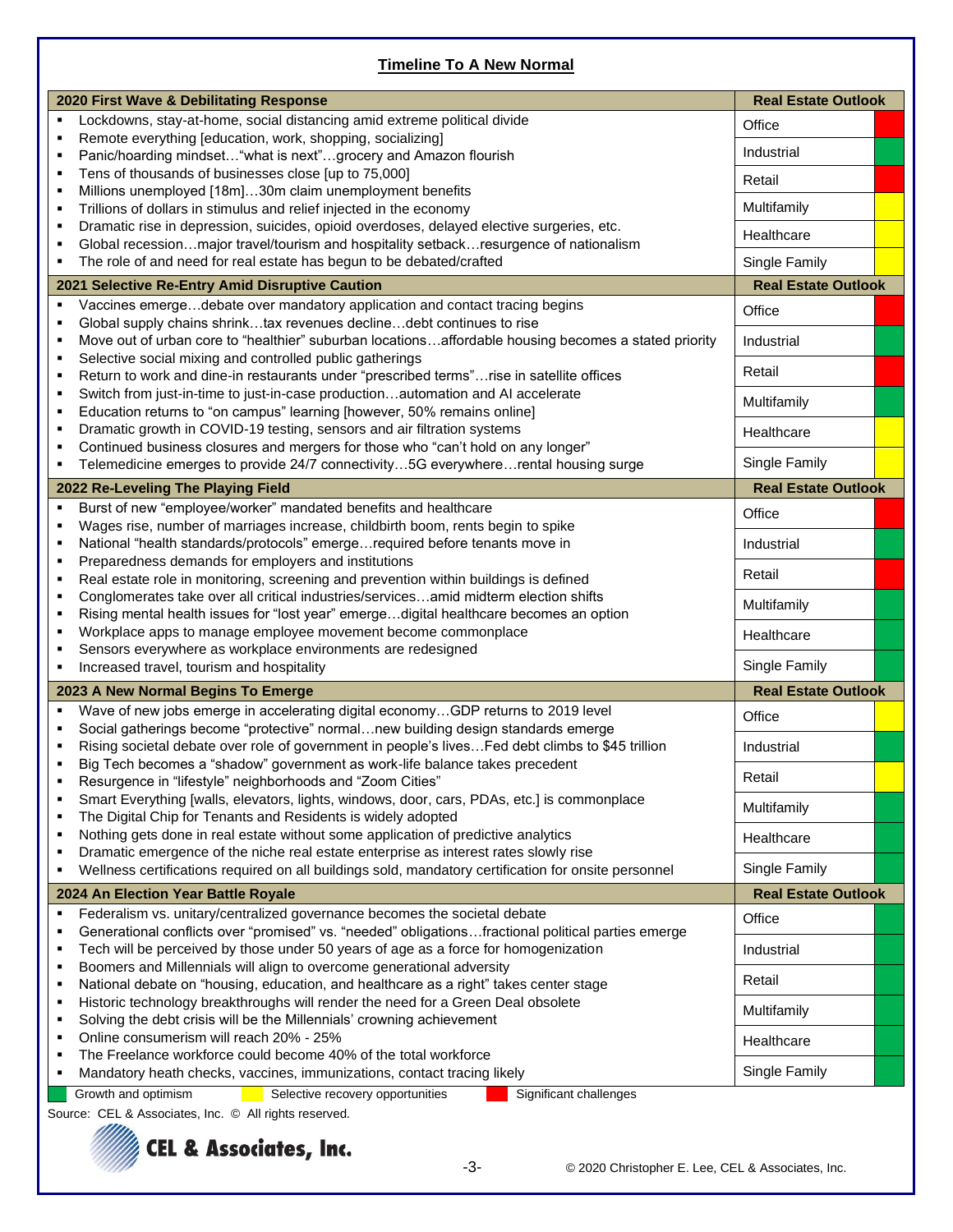# **Timeline To A New Normal**

|                                    | 2020 First Wave & Debilitating Response                                                                                                                                                      | <b>Real Estate Outlook</b> |
|------------------------------------|----------------------------------------------------------------------------------------------------------------------------------------------------------------------------------------------|----------------------------|
| Е                                  | Lockdowns, stay-at-home, social distancing amid extreme political divide                                                                                                                     | Office                     |
| ٠                                  | Remote everything [education, work, shopping, socializing]                                                                                                                                   | Industrial                 |
| Е                                  | Panic/hoarding mindset "what is next"grocery and Amazon flourish                                                                                                                             |                            |
| ٠<br>٠                             | Tens of thousands of businesses close [up to 75,000]<br>Millions unemployed [18m]30m claim unemployment benefits                                                                             | Retail                     |
| ٠                                  | Trillions of dollars in stimulus and relief injected in the economy                                                                                                                          | Multifamily                |
| ٠                                  | Dramatic rise in depression, suicides, opioid overdoses, delayed elective surgeries, etc.                                                                                                    |                            |
|                                    | Global recessionmajor travel/tourism and hospitality setbackresurgence of nationalism                                                                                                        | Healthcare                 |
| ٠                                  | The role of and need for real estate has begun to be debated/crafted                                                                                                                         | Single Family              |
|                                    | 2021 Selective Re-Entry Amid Disruptive Caution                                                                                                                                              | <b>Real Estate Outlook</b> |
| ٠                                  | Vaccines emergedebate over mandatory application and contact tracing begins                                                                                                                  | Office                     |
| Е<br>٠                             | Global supply chains shrinktax revenues declinedebt continues to rise<br>Move out of urban core to "healthier" suburban locationsaffordable housing becomes a stated priority                | Industrial                 |
| ٠                                  | Selective social mixing and controlled public gatherings                                                                                                                                     |                            |
| ٠                                  | Return to work and dine-in restaurants under "prescribed terms"rise in satellite offices                                                                                                     | Retail                     |
| ٠<br>٠                             | Switch from just-in-time to just-in-case productionautomation and AI accelerate<br>Education returns to "on campus" learning [however, 50% remains online]                                   | Multifamily                |
| ٠                                  | Dramatic growth in COVID-19 testing, sensors and air filtration systems                                                                                                                      | Healthcare                 |
| Е                                  | Continued business closures and mergers for those who "can't hold on any longer"                                                                                                             |                            |
| ٠                                  | Telemedicine emerges to provide 24/7 connectivity5G everywhererental housing surge                                                                                                           | Single Family              |
|                                    | 2022 Re-Leveling The Playing Field                                                                                                                                                           | <b>Real Estate Outlook</b> |
| ٠                                  | Burst of new "employee/worker" mandated benefits and healthcare<br>Wages rise, number of marriages increase, childbirth boom, rents begin to spike                                           | Office                     |
|                                    | National "health standards/protocols" emergerequired before tenants move in                                                                                                                  | Industrial                 |
| ٠                                  | Preparedness demands for employers and institutions<br>Real estate role in monitoring, screening and prevention within buildings is defined                                                  | Retail                     |
| ٠                                  | Conglomerates take over all critical industries/servicesamid midterm election shifts                                                                                                         |                            |
|                                    | Rising mental health issues for "lost year" emergedigital healthcare becomes an option                                                                                                       | Multifamily                |
| п<br>Е                             | Workplace apps to manage employee movement become commonplace<br>Sensors everywhere as workplace environments are redesigned                                                                 | Healthcare                 |
| ٠                                  | Increased travel, tourism and hospitality                                                                                                                                                    | Single Family              |
| 2023 A New Normal Begins To Emerge |                                                                                                                                                                                              | <b>Real Estate Outlook</b> |
| ٠                                  | Wave of new jobs emerge in accelerating digital economyGDP returns to 2019 level                                                                                                             | Office                     |
| п                                  | Social gatherings become "protective" normalnew building design standards emerge<br>Rising societal debate over role of government in people's lives Fed debt climbs to \$45 trillion        | Industrial                 |
|                                    | Big Tech becomes a "shadow" government as work-life balance takes precedent                                                                                                                  |                            |
|                                    | Resurgence in "lifestyle" neighborhoods and "Zoom Cities"                                                                                                                                    | Retail                     |
| ٠                                  | Smart Everything [walls, elevators, lights, windows, door, cars, PDAs, etc.] is commonplace<br>The Digital Chip for Tenants and Residents is widely adopted                                  | Multifamily                |
| ٠                                  | Nothing gets done in real estate without some application of predictive analytics                                                                                                            | Healthcare                 |
| ٠<br>٠                             | Dramatic emergence of the niche real estate enterprise as interest rates slowly rise<br>Wellness certifications required on all buildings sold, mandatory certification for onsite personnel | Single Family              |
|                                    | 2024 An Election Year Battle Royale                                                                                                                                                          | <b>Real Estate Outlook</b> |
|                                    | Federalism vs. unitary/centralized governance becomes the societal debate                                                                                                                    | Office                     |
| ٠                                  | Generational conflicts over "promised" vs. "needed" obligationsfractional political parties emerge                                                                                           |                            |
| ٠<br>٠                             | Tech will be perceived by those under 50 years of age as a force for homogenization<br>Boomers and Millennials will align to overcome generational adversity                                 | Industrial                 |
| ٠                                  | National debate on "housing, education, and healthcare as a right" takes center stage                                                                                                        | Retail                     |
| ٠                                  | Historic technology breakthroughs will render the need for a Green Deal obsolete                                                                                                             | Multifamily                |
| ٠<br>п                             | Solving the debt crisis will be the Millennials' crowning achievement<br>Online consumerism will reach 20% - 25%                                                                             | Healthcare                 |
| Е                                  | The Freelance workforce could become 40% of the total workforce                                                                                                                              |                            |
| Е                                  | Mandatory heath checks, vaccines, immunizations, contact tracing likely                                                                                                                      | Single Family              |
|                                    | Growth and optimism<br>Selective recovery opportunities<br>Significant challenges                                                                                                            |                            |

Source: CEL & Associates, Inc. © All rights reserved.

# **Surfall & Associates, Inc.**

-3- © 2020 Christopher E. Lee, CEL & Associates, Inc.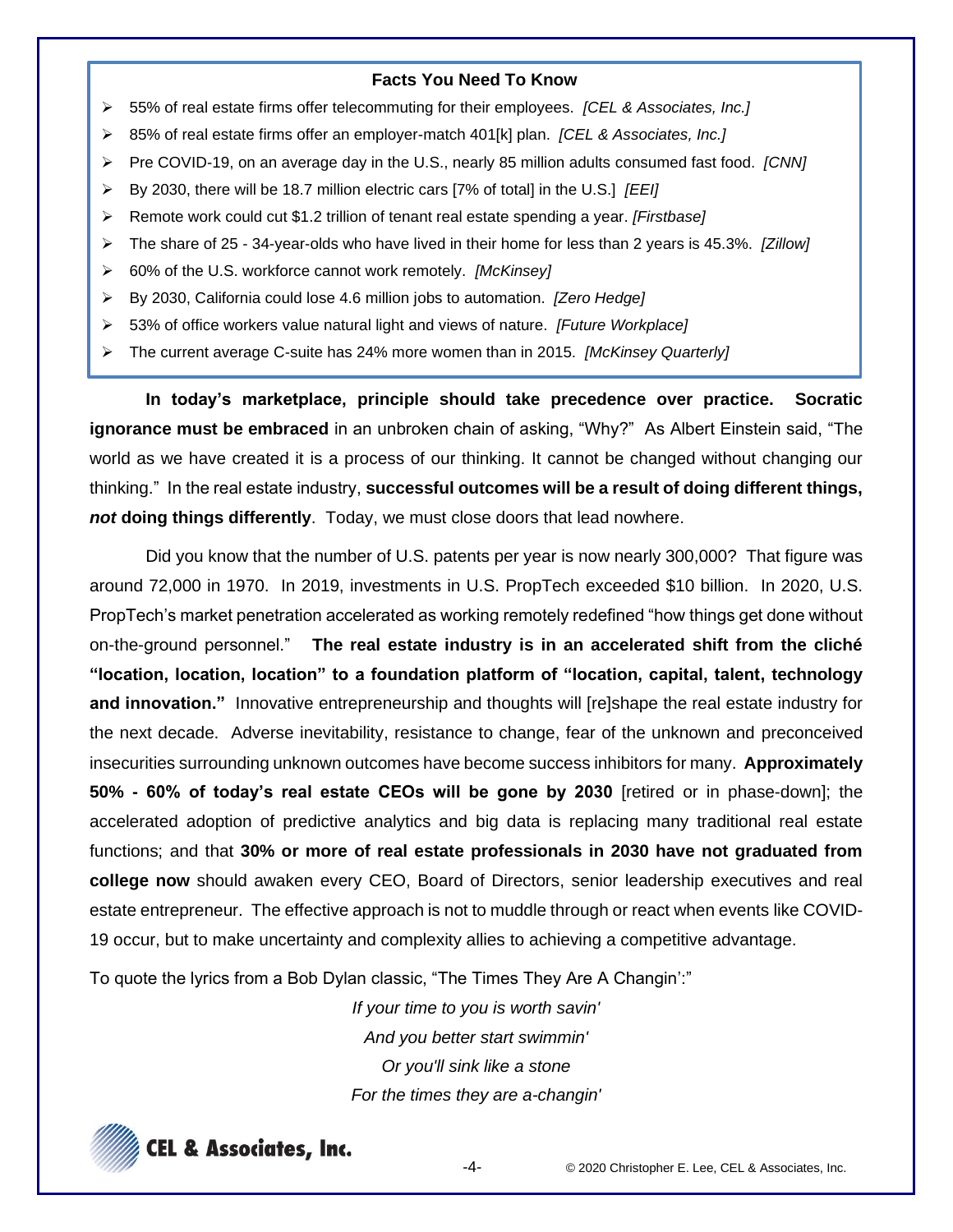- ➢ 55% of real estate firms offer telecommuting for their employees. *[CEL & Associates, Inc.]*
- ➢ 85% of real estate firms offer an employer-match 401[k] plan. *[CEL & Associates, Inc.]*
- ➢ Pre COVID-19, on an average day in the U.S., nearly 85 million adults consumed fast food. *[CNN]*
- ➢ By 2030, there will be 18.7 million electric cars [7% of total] in the U.S.] *[EEI]*
- ➢ Remote work could cut \$1.2 trillion of tenant real estate spending a year. *[Firstbase]*
- ➢ The share of 25 34-year-olds who have lived in their home for less than 2 years is 45.3%. *[Zillow]*
- ➢ 60% of the U.S. workforce cannot work remotely. *[McKinsey]*
- ➢ By 2030, California could lose 4.6 million jobs to automation. *[Zero Hedge]*
- ➢ 53% of office workers value natural light and views of nature. *[Future Workplace]*
- ➢ The current average C-suite has 24% more women than in 2015. *[McKinsey Quarterly]*

**In today's marketplace, principle should take precedence over practice. Socratic ignorance must be embraced** in an unbroken chain of asking, "Why?" As Albert Einstein said, "The world as we have created it is a process of our thinking. It cannot be changed without changing our thinking." In the real estate industry, **successful outcomes will be a result of doing different things,**  *not* **doing things differently**. Today, we must close doors that lead nowhere.

Did you know that the number of U.S. patents per year is now nearly 300,000? That figure was around 72,000 in 1970. In 2019, investments in U.S. PropTech exceeded \$10 billion. In 2020, U.S. PropTech's market penetration accelerated as working remotely redefined "how things get done without on-the-ground personnel." **The real estate industry is in an accelerated shift from the cliché "location, location, location" to a foundation platform of "location, capital, talent, technology and innovation."** Innovative entrepreneurship and thoughts will [re]shape the real estate industry for the next decade. Adverse inevitability, resistance to change, fear of the unknown and preconceived insecurities surrounding unknown outcomes have become success inhibitors for many. **Approximately 50% - 60% of today's real estate CEOs will be gone by 2030** [retired or in phase-down]; the accelerated adoption of predictive analytics and big data is replacing many traditional real estate functions; and that **30% or more of real estate professionals in 2030 have not graduated from college now** should awaken every CEO, Board of Directors, senior leadership executives and real estate entrepreneur. The effective approach is not to muddle through or react when events like COVID-19 occur, but to make uncertainty and complexity allies to achieving a competitive advantage.

To quote the lyrics from a Bob Dylan classic, "The Times They Are A Changin':"

*If your time to you is worth savin' And you better start swimmin' Or you'll sink like a stone For the times they are a-changin'*



-4- © 2020 Christopher E. Lee, CEL & Associates, Inc.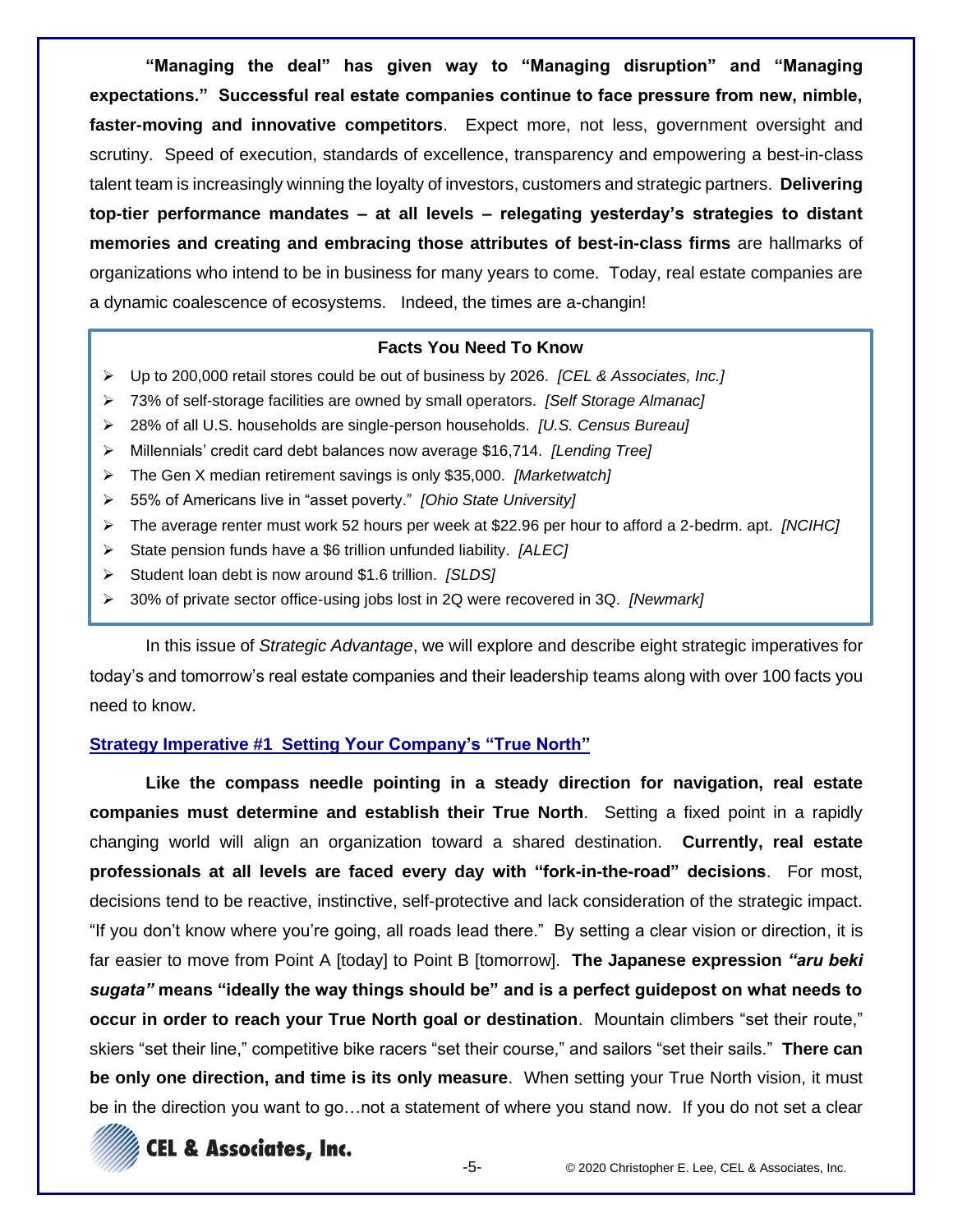**"Managing the deal" has given way to "Managing disruption" and "Managing expectations." Successful real estate companies continue to face pressure from new, nimble, faster-moving and innovative competitors**. Expect more, not less, government oversight and scrutiny. Speed of execution, standards of excellence, transparency and empowering a best-in-class talent team is increasingly winning the loyalty of investors, customers and strategic partners. **Delivering top-tier performance mandates – at all levels – relegating yesterday's strategies to distant memories and creating and embracing those attributes of best-in-class firms** are hallmarks of organizations who intend to be in business for many years to come. Today, real estate companies are a dynamic coalescence of ecosystems. Indeed, the times are a-changin!

# **Facts You Need To Know**

- ➢ Up to 200,000 retail stores could be out of business by 2026. *[CEL & Associates, Inc.]*
- ➢ 73% of self-storage facilities are owned by small operators. *[Self Storage Almanac]*
- ➢ 28% of all U.S. households are single-person households. *[U.S. Census Bureau]*
- ➢ Millennials' credit card debt balances now average \$16,714. *[Lending Tree]*
- ➢ The Gen X median retirement savings is only \$35,000. *[Marketwatch]*
- ➢ 55% of Americans live in "asset poverty." *[Ohio State University]*
- ➢ The average renter must work 52 hours per week at \$22.96 per hour to afford a 2-bedrm. apt. *[NCIHC]*
- ➢ State pension funds have a \$6 trillion unfunded liability. *[ALEC]*
- ➢ Student loan debt is now around \$1.6 trillion. *[SLDS]*
- ➢ 30% of private sector office-using jobs lost in 2Q were recovered in 3Q. *[Newmark]*

In this issue of *Strategic Advantage*, we will explore and describe eight strategic imperatives for today's and tomorrow's real estate companies and their leadership teams along with over 100 facts you need to know.

# **Strategy Imperative #1 Setting Your Company's "True North"**

**Like the compass needle pointing in a steady direction for navigation, real estate companies must determine and establish their True North**. Setting a fixed point in a rapidly changing world will align an organization toward a shared destination. **Currently, real estate professionals at all levels are faced every day with "fork-in-the-road" decisions**. For most, decisions tend to be reactive, instinctive, self-protective and lack consideration of the strategic impact. "If you don't know where you're going, all roads lead there." By setting a clear vision or direction, it is far easier to move from Point A [today] to Point B [tomorrow]. **The Japanese expression** *"aru beki sugata"* **means "ideally the way things should be" and is a perfect guidepost on what needs to occur in order to reach your True North goal or destination**. Mountain climbers "set their route," skiers "set their line," competitive bike racers "set their course," and sailors "set their sails." **There can be only one direction, and time is its only measure**. When setting your True North vision, it must be in the direction you want to go…not a statement of where you stand now. If you do not set a clear

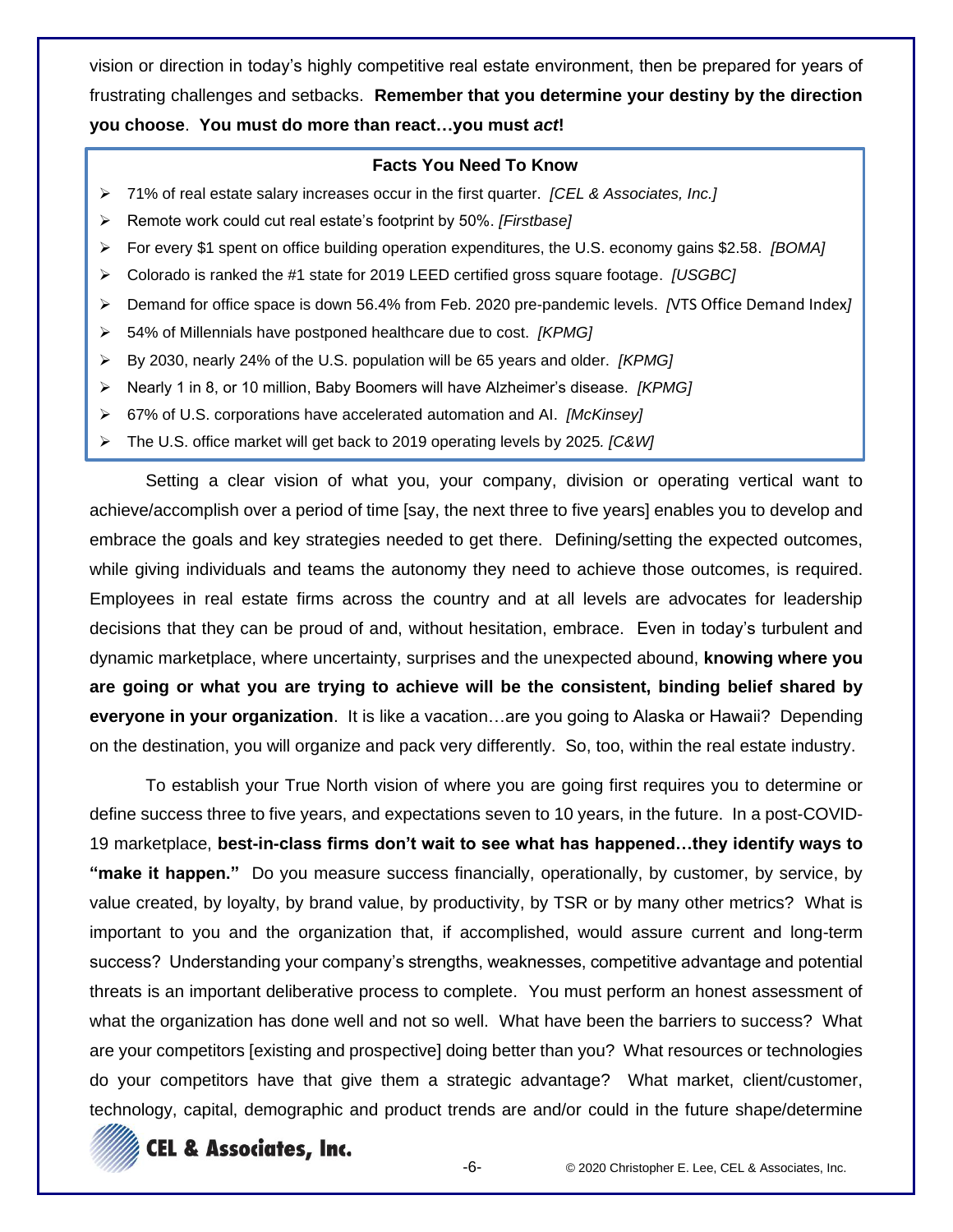vision or direction in today's highly competitive real estate environment, then be prepared for years of frustrating challenges and setbacks. **Remember that you determine your destiny by the direction you choose**. **You must do more than react…you must** *act***!**

# **Facts You Need To Know**

- ➢ 71% of real estate salary increases occur in the first quarter. *[CEL & Associates, Inc.]*
- ➢ Remote work could cut real estate's footprint by 50%. *[Firstbase]*
- ➢ For every \$1 spent on office building operation expenditures, the U.S. economy gains \$2.58. *[BOMA]*
- ➢ Colorado is ranked the #1 state for 2019 LEED certified gross square footage. *[USGBC]*
- ➢ Demand for office space is down 56.4% from Feb. 2020 pre-pandemic levels. *[*VTS Office Demand Index*]*
- ➢ 54% of Millennials have postponed healthcare due to cost. *[KPMG]*
- ➢ By 2030, nearly 24% of the U.S. population will be 65 years and older. *[KPMG]*
- ➢ Nearly 1 in 8, or 10 million, Baby Boomers will have Alzheimer's disease. *[KPMG]*
- ➢ 67% of U.S. corporations have accelerated automation and AI. *[McKinsey]*
- ➢ The U.S. office market will get back to 2019 operating levels by 2025*. [C&W]*

Setting a clear vision of what you, your company, division or operating vertical want to achieve/accomplish over a period of time [say, the next three to five years] enables you to develop and embrace the goals and key strategies needed to get there. Defining/setting the expected outcomes, while giving individuals and teams the autonomy they need to achieve those outcomes, is required. Employees in real estate firms across the country and at all levels are advocates for leadership decisions that they can be proud of and, without hesitation, embrace. Even in today's turbulent and dynamic marketplace, where uncertainty, surprises and the unexpected abound, **knowing where you are going or what you are trying to achieve will be the consistent, binding belief shared by everyone in your organization**. It is like a vacation…are you going to Alaska or Hawaii? Depending on the destination, you will organize and pack very differently. So, too, within the real estate industry.

To establish your True North vision of where you are going first requires you to determine or define success three to five years, and expectations seven to 10 years, in the future. In a post-COVID-19 marketplace, **best-in-class firms don't wait to see what has happened…they identify ways to "make it happen."** Do you measure success financially, operationally, by customer, by service, by value created, by loyalty, by brand value, by productivity, by TSR or by many other metrics? What is important to you and the organization that, if accomplished, would assure current and long-term success? Understanding your company's strengths, weaknesses, competitive advantage and potential threats is an important deliberative process to complete. You must perform an honest assessment of what the organization has done well and not so well. What have been the barriers to success? What are your competitors [existing and prospective] doing better than you? What resources or technologies do your competitors have that give them a strategic advantage? What market, client/customer, technology, capital, demographic and product trends are and/or could in the future shape/determine

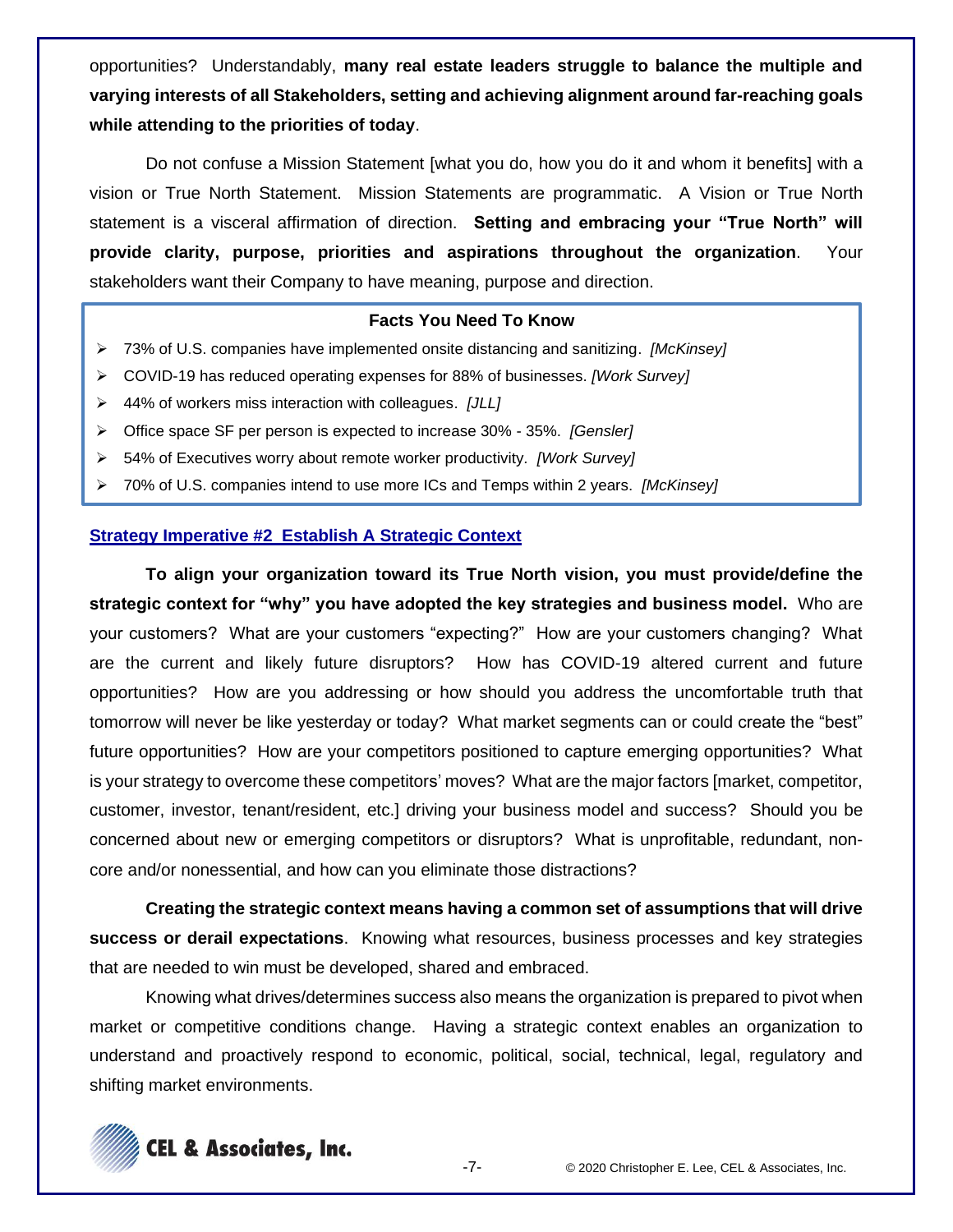opportunities? Understandably, **many real estate leaders struggle to balance the multiple and varying interests of all Stakeholders, setting and achieving alignment around far-reaching goals while attending to the priorities of today**.

Do not confuse a Mission Statement [what you do, how you do it and whom it benefits] with a vision or True North Statement. Mission Statements are programmatic. A Vision or True North statement is a visceral affirmation of direction. **Setting and embracing your "True North" will provide clarity, purpose, priorities and aspirations throughout the organization**. Your stakeholders want their Company to have meaning, purpose and direction.

# **Facts You Need To Know**

- ➢ 73% of U.S. companies have implemented onsite distancing and sanitizing. *[McKinsey]*
- ➢ COVID-19 has reduced operating expenses for 88% of businesses. *[Work Survey]*
- ➢ 44% of workers miss interaction with colleagues. *[JLL]*
- ➢ Office space SF per person is expected to increase 30% 35%. *[Gensler]*
- ➢ 54% of Executives worry about remote worker productivity*. [Work Survey]*
- ➢ 70% of U.S. companies intend to use more ICs and Temps within 2 years. *[McKinsey]*

### **Strategy Imperative #2 Establish A Strategic Context**

**To align your organization toward its True North vision, you must provide/define the strategic context for "why" you have adopted the key strategies and business model.** Who are your customers? What are your customers "expecting?" How are your customers changing? What are the current and likely future disruptors? How has COVID-19 altered current and future opportunities? How are you addressing or how should you address the uncomfortable truth that tomorrow will never be like yesterday or today? What market segments can or could create the "best" future opportunities? How are your competitors positioned to capture emerging opportunities? What is your strategy to overcome these competitors' moves? What are the major factors [market, competitor, customer, investor, tenant/resident, etc.] driving your business model and success? Should you be concerned about new or emerging competitors or disruptors? What is unprofitable, redundant, noncore and/or nonessential, and how can you eliminate those distractions?

**Creating the strategic context means having a common set of assumptions that will drive success or derail expectations**. Knowing what resources, business processes and key strategies that are needed to win must be developed, shared and embraced.

Knowing what drives/determines success also means the organization is prepared to pivot when market or competitive conditions change. Having a strategic context enables an organization to understand and proactively respond to economic, political, social, technical, legal, regulatory and shifting market environments.

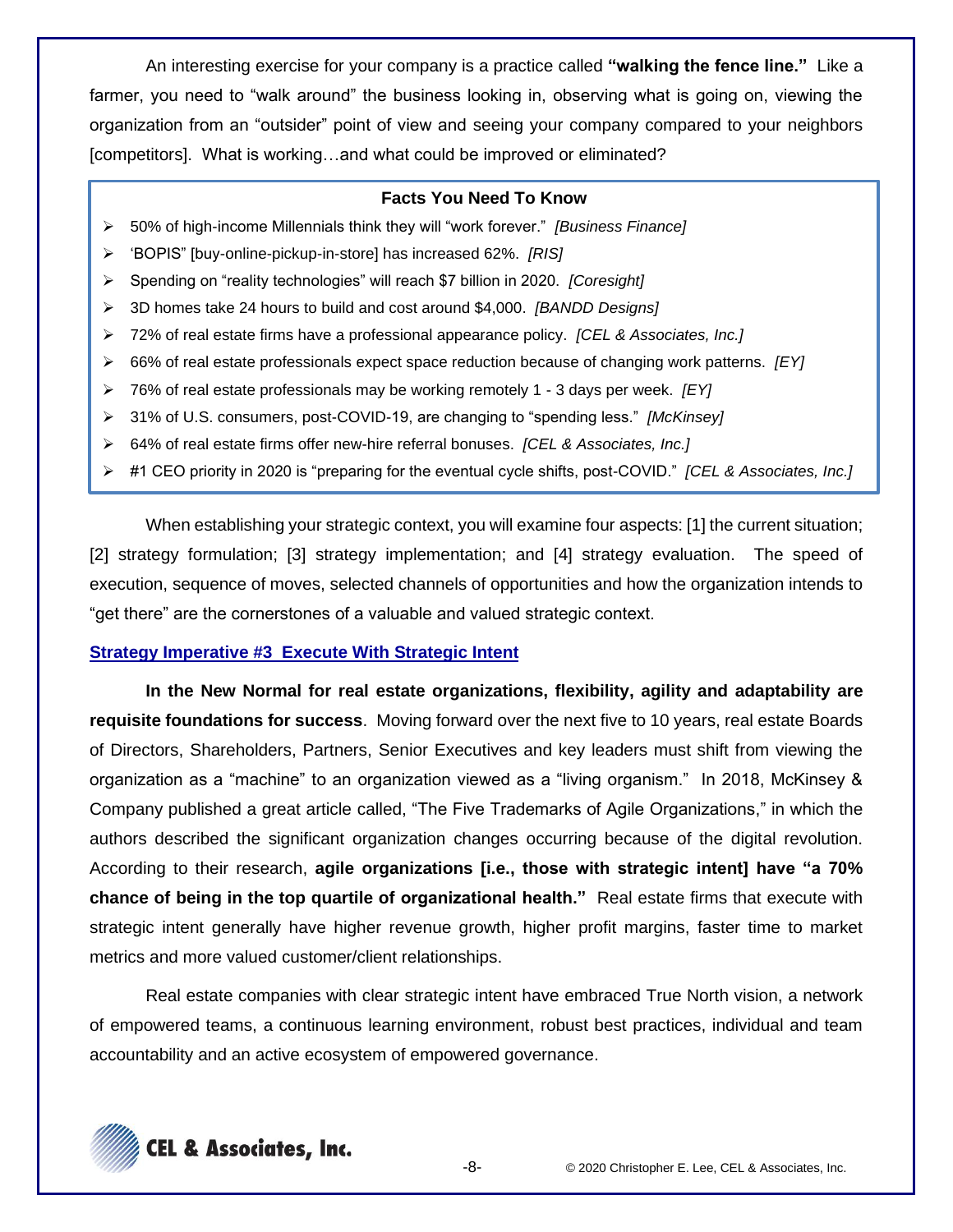An interesting exercise for your company is a practice called **"walking the fence line."** Like a farmer, you need to "walk around" the business looking in, observing what is going on, viewing the organization from an "outsider" point of view and seeing your company compared to your neighbors [competitors]. What is working...and what could be improved or eliminated?

#### **Facts You Need To Know**

- ➢ 50% of high-income Millennials think they will "work forever." *[Business Finance]*
- ➢ 'BOPIS" [buy-online-pickup-in-store] has increased 62%. *[RIS]*
- ➢ Spending on "reality technologies" will reach \$7 billion in 2020. *[Coresight]*
- ➢ 3D homes take 24 hours to build and cost around \$4,000. *[BANDD Designs]*
- ➢ 72% of real estate firms have a professional appearance policy. *[CEL & Associates, Inc.]*
- ➢ 66% of real estate professionals expect space reduction because of changing work patterns. *[EY]*
- ➢ 76% of real estate professionals may be working remotely 1 3 days per week. *[EY]*
- ➢ 31% of U.S. consumers, post-COVID-19, are changing to "spending less." *[McKinsey]*
- ➢ 64% of real estate firms offer new-hire referral bonuses. *[CEL & Associates, Inc.]*
- ➢ #1 CEO priority in 2020 is "preparing for the eventual cycle shifts, post-COVID." *[CEL & Associates, Inc.]*

When establishing your strategic context, you will examine four aspects: [1] the current situation; [2] strategy formulation; [3] strategy implementation; and [4] strategy evaluation. The speed of execution, sequence of moves, selected channels of opportunities and how the organization intends to "get there" are the cornerstones of a valuable and valued strategic context.

#### **Strategy Imperative #3 Execute With Strategic Intent**

**In the New Normal for real estate organizations, flexibility, agility and adaptability are requisite foundations for success**. Moving forward over the next five to 10 years, real estate Boards of Directors, Shareholders, Partners, Senior Executives and key leaders must shift from viewing the organization as a "machine" to an organization viewed as a "living organism." In 2018, McKinsey & Company published a great article called, "The Five Trademarks of Agile Organizations," in which the authors described the significant organization changes occurring because of the digital revolution. According to their research, **agile organizations [i.e., those with strategic intent] have "a 70% chance of being in the top quartile of organizational health."** Real estate firms that execute with strategic intent generally have higher revenue growth, higher profit margins, faster time to market metrics and more valued customer/client relationships.

Real estate companies with clear strategic intent have embraced True North vision, a network of empowered teams, a continuous learning environment, robust best practices, individual and team accountability and an active ecosystem of empowered governance.

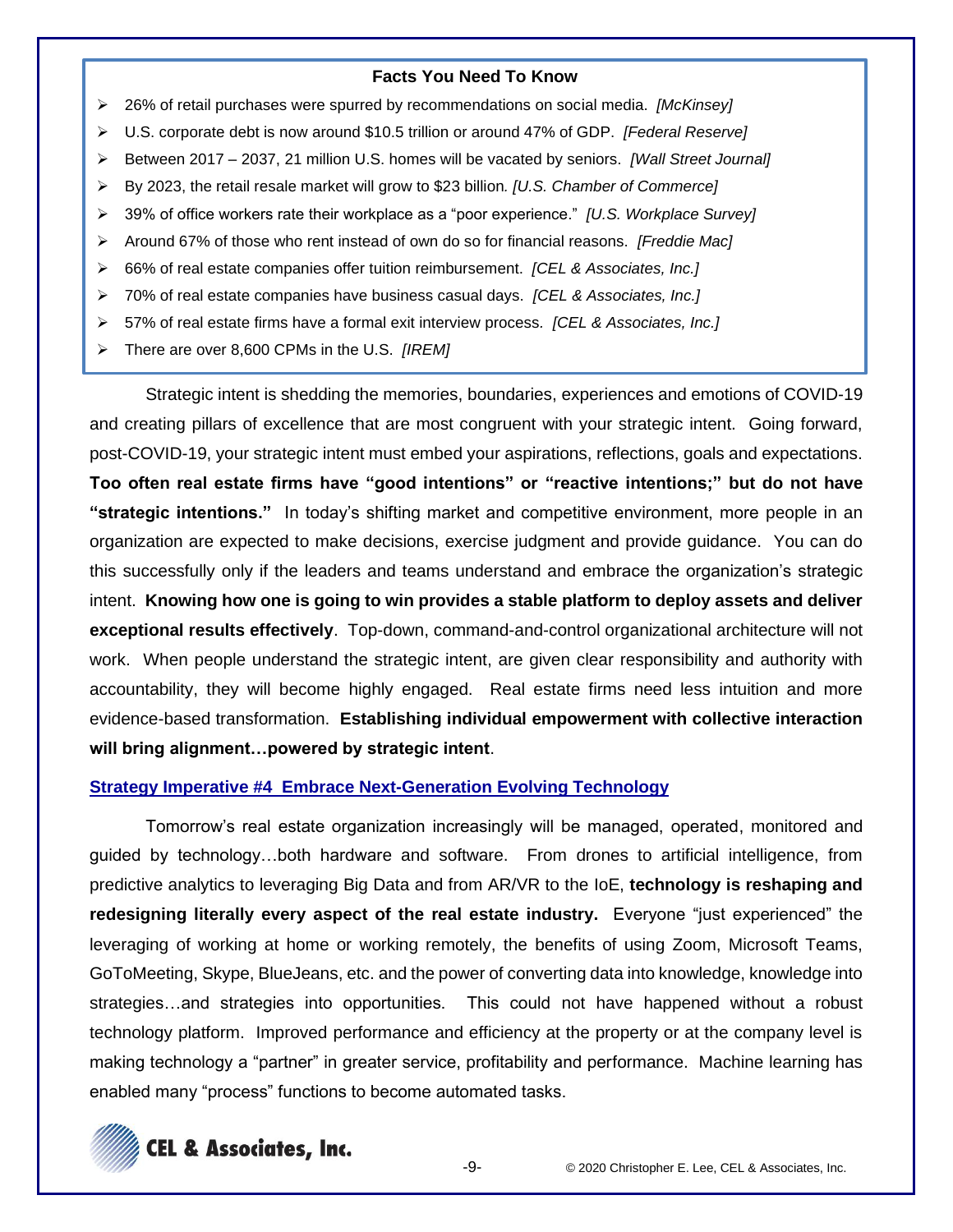- ➢ 26% of retail purchases were spurred by recommendations on social media. *[McKinsey]*
- ➢ U.S. corporate debt is now around \$10.5 trillion or around 47% of GDP. *[Federal Reserve]*
- ➢ Between 2017 2037, 21 million U.S. homes will be vacated by seniors. *[Wall Street Journal]*
- ➢ By 2023, the retail resale market will grow to \$23 billion*. [U.S. Chamber of Commerce]*
- ➢ 39% of office workers rate their workplace as a "poor experience." *[U.S. Workplace Survey]*
- ➢ Around 67% of those who rent instead of own do so for financial reasons. *[Freddie Mac]*
- ➢ 66% of real estate companies offer tuition reimbursement. *[CEL & Associates, Inc.]*
- ➢ 70% of real estate companies have business casual days. *[CEL & Associates, Inc.]*
- ➢ 57% of real estate firms have a formal exit interview process*. [CEL & Associates, Inc.]*
- ➢ There are over 8,600 CPMs in the U.S. *[IREM]*

Strategic intent is shedding the memories, boundaries, experiences and emotions of COVID-19 and creating pillars of excellence that are most congruent with your strategic intent. Going forward, post-COVID-19, your strategic intent must embed your aspirations, reflections, goals and expectations. **Too often real estate firms have "good intentions" or "reactive intentions;" but do not have "strategic intentions."** In today's shifting market and competitive environment, more people in an organization are expected to make decisions, exercise judgment and provide guidance. You can do this successfully only if the leaders and teams understand and embrace the organization's strategic intent. **Knowing how one is going to win provides a stable platform to deploy assets and deliver exceptional results effectively**. Top-down, command-and-control organizational architecture will not work. When people understand the strategic intent, are given clear responsibility and authority with accountability, they will become highly engaged. Real estate firms need less intuition and more evidence-based transformation. **Establishing individual empowerment with collective interaction will bring alignment…powered by strategic intent**.

# **Strategy Imperative #4 Embrace Next-Generation Evolving Technology**

Tomorrow's real estate organization increasingly will be managed, operated, monitored and guided by technology…both hardware and software. From drones to artificial intelligence, from predictive analytics to leveraging Big Data and from AR/VR to the IoE, **technology is reshaping and redesigning literally every aspect of the real estate industry.** Everyone "just experienced" the leveraging of working at home or working remotely, the benefits of using Zoom, Microsoft Teams, GoToMeeting, Skype, BlueJeans, etc. and the power of converting data into knowledge, knowledge into strategies…and strategies into opportunities. This could not have happened without a robust technology platform. Improved performance and efficiency at the property or at the company level is making technology a "partner" in greater service, profitability and performance. Machine learning has enabled many "process" functions to become automated tasks.

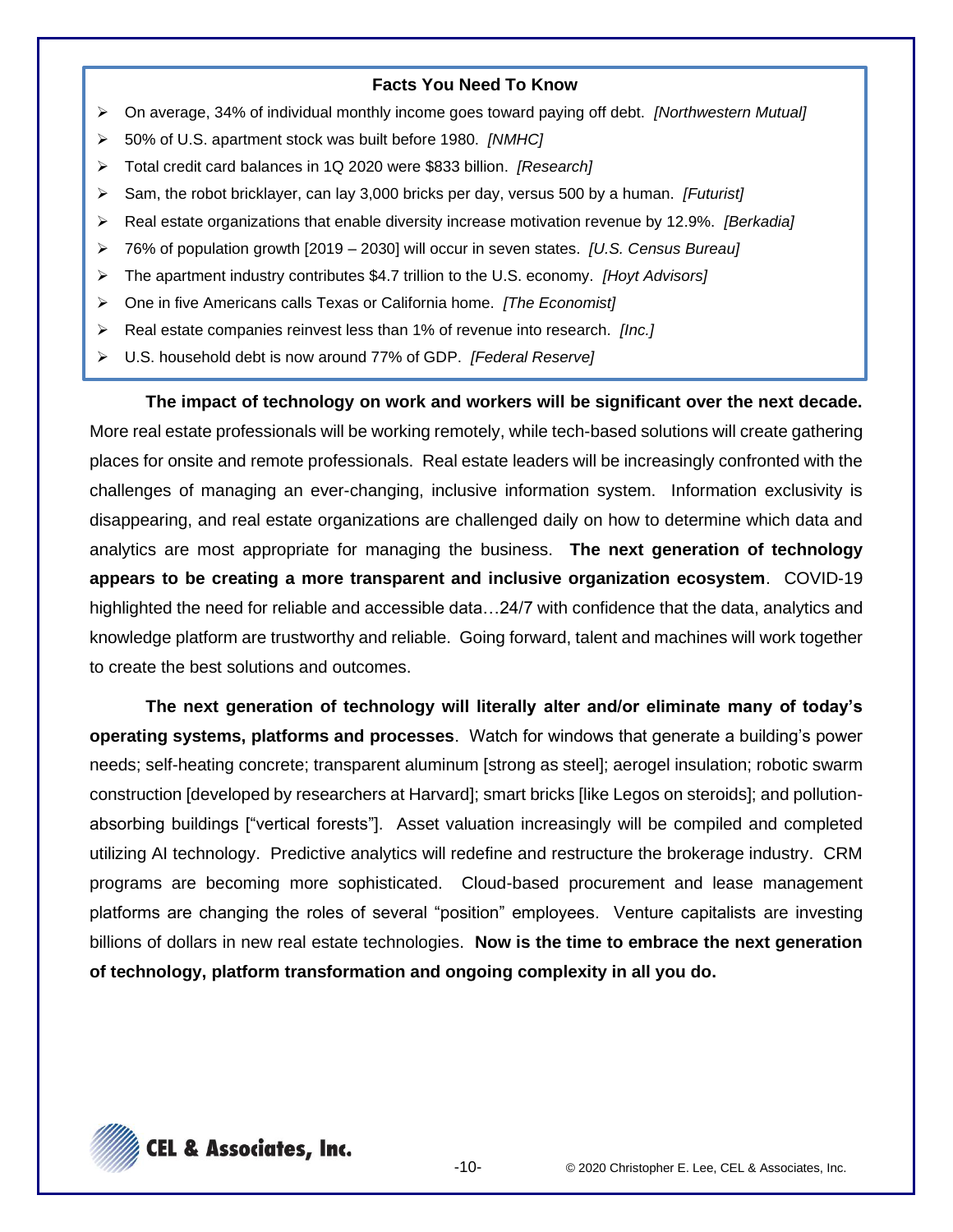- ➢ On average, 34% of individual monthly income goes toward paying off debt. *[Northwestern Mutual]*
- ➢ 50% of U.S. apartment stock was built before 1980. *[NMHC]*
- ➢ Total credit card balances in 1Q 2020 were \$833 billion. *[Research]*
- ➢ Sam, the robot bricklayer, can lay 3,000 bricks per day, versus 500 by a human. *[Futurist]*
- ➢ Real estate organizations that enable diversity increase motivation revenue by 12.9%. *[Berkadia]*
- ➢ 76% of population growth [2019 2030] will occur in seven states. *[U.S. Census Bureau]*
- ➢ The apartment industry contributes \$4.7 trillion to the U.S. economy. *[Hoyt Advisors]*
- ➢ One in five Americans calls Texas or California home. *[The Economist]*
- ➢ Real estate companies reinvest less than 1% of revenue into research. *[Inc.]*
- ➢ U.S. household debt is now around 77% of GDP. *[Federal Reserve]*

**The impact of technology on work and workers will be significant over the next decade.** More real estate professionals will be working remotely, while tech-based solutions will create gathering places for onsite and remote professionals. Real estate leaders will be increasingly confronted with the challenges of managing an ever-changing, inclusive information system. Information exclusivity is disappearing, and real estate organizations are challenged daily on how to determine which data and analytics are most appropriate for managing the business. **The next generation of technology appears to be creating a more transparent and inclusive organization ecosystem**. COVID-19 highlighted the need for reliable and accessible data…24/7 with confidence that the data, analytics and knowledge platform are trustworthy and reliable. Going forward, talent and machines will work together to create the best solutions and outcomes.

**The next generation of technology will literally alter and/or eliminate many of today's operating systems, platforms and processes**. Watch for windows that generate a building's power needs; self-heating concrete; transparent aluminum [strong as steel]; aerogel insulation; robotic swarm construction [developed by researchers at Harvard]; smart bricks [like Legos on steroids]; and pollutionabsorbing buildings ["vertical forests"]. Asset valuation increasingly will be compiled and completed utilizing AI technology. Predictive analytics will redefine and restructure the brokerage industry. CRM programs are becoming more sophisticated. Cloud-based procurement and lease management platforms are changing the roles of several "position" employees. Venture capitalists are investing billions of dollars in new real estate technologies. **Now is the time to embrace the next generation of technology, platform transformation and ongoing complexity in all you do.**

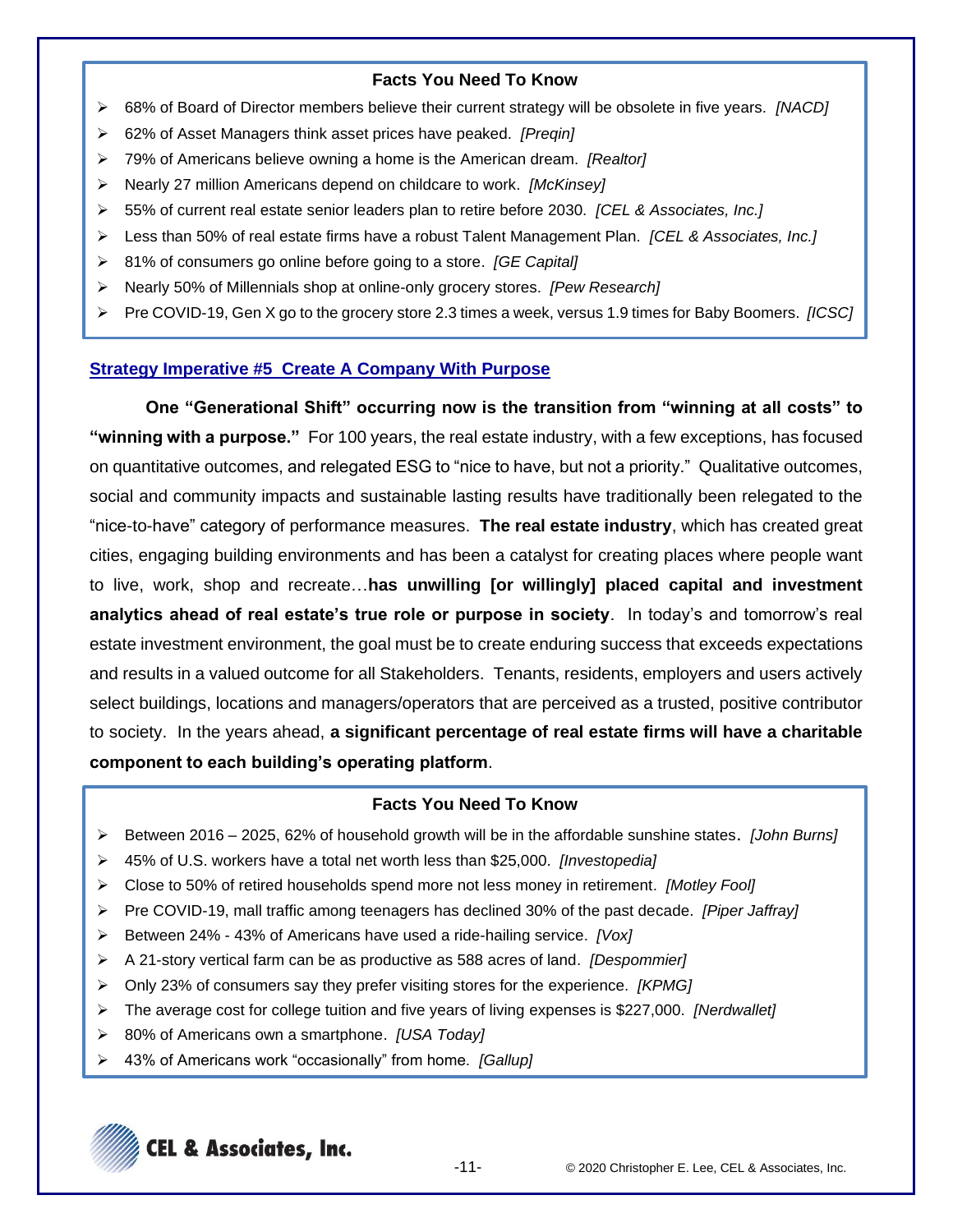- ➢ 68% of Board of Director members believe their current strategy will be obsolete in five years. *[NACD]*
- ➢ 62% of Asset Managers think asset prices have peaked. *[Preqin]*
- ➢ 79% of Americans believe owning a home is the American dream. *[Realtor]*
- ➢ Nearly 27 million Americans depend on childcare to work. *[McKinsey]*
- ➢ 55% of current real estate senior leaders plan to retire before 2030. *[CEL & Associates, Inc.]*
- ➢ Less than 50% of real estate firms have a robust Talent Management Plan. *[CEL & Associates, Inc.]*
- ➢ 81% of consumers go online before going to a store. *[GE Capital]*
- ➢ Nearly 50% of Millennials shop at online-only grocery stores. *[Pew Research]*
- ➢ Pre COVID-19, Gen X go to the grocery store 2.3 times a week, versus 1.9 times for Baby Boomers. *[ICSC]*

# **Strategy Imperative #5 Create A Company With Purpose**

**One "Generational Shift" occurring now is the transition from "winning at all costs" to "winning with a purpose."** For 100 years, the real estate industry, with a few exceptions, has focused on quantitative outcomes, and relegated ESG to "nice to have, but not a priority." Qualitative outcomes, social and community impacts and sustainable lasting results have traditionally been relegated to the "nice-to-have" category of performance measures. **The real estate industry**, which has created great cities, engaging building environments and has been a catalyst for creating places where people want to live, work, shop and recreate…**has unwilling [or willingly] placed capital and investment analytics ahead of real estate's true role or purpose in society**. In today's and tomorrow's real estate investment environment, the goal must be to create enduring success that exceeds expectations and results in a valued outcome for all Stakeholders. Tenants, residents, employers and users actively select buildings, locations and managers/operators that are perceived as a trusted, positive contributor to society. In the years ahead, **a significant percentage of real estate firms will have a charitable component to each building's operating platform**.

# **Facts You Need To Know**

- ➢ Between 2016 2025, 62% of household growth will be in the affordable sunshine states. *[John Burns]*
- ➢ 45% of U.S. workers have a total net worth less than \$25,000. *[Investopedia]*
- ➢ Close to 50% of retired households spend more not less money in retirement. *[Motley Fool]*
- ➢ Pre COVID-19, mall traffic among teenagers has declined 30% of the past decade. *[Piper Jaffray]*
- ➢ Between 24% 43% of Americans have used a ride-hailing service. *[Vox]*
- ➢ A 21-story vertical farm can be as productive as 588 acres of land. *[Despommier]*
- ➢ Only 23% of consumers say they prefer visiting stores for the experience. *[KPMG]*
- ➢ The average cost for college tuition and five years of living expenses is \$227,000. *[Nerdwallet]*
- ➢ 80% of Americans own a smartphone. *[USA Today]*
- ➢ 43% of Americans work "occasionally" from home. *[Gallup]*

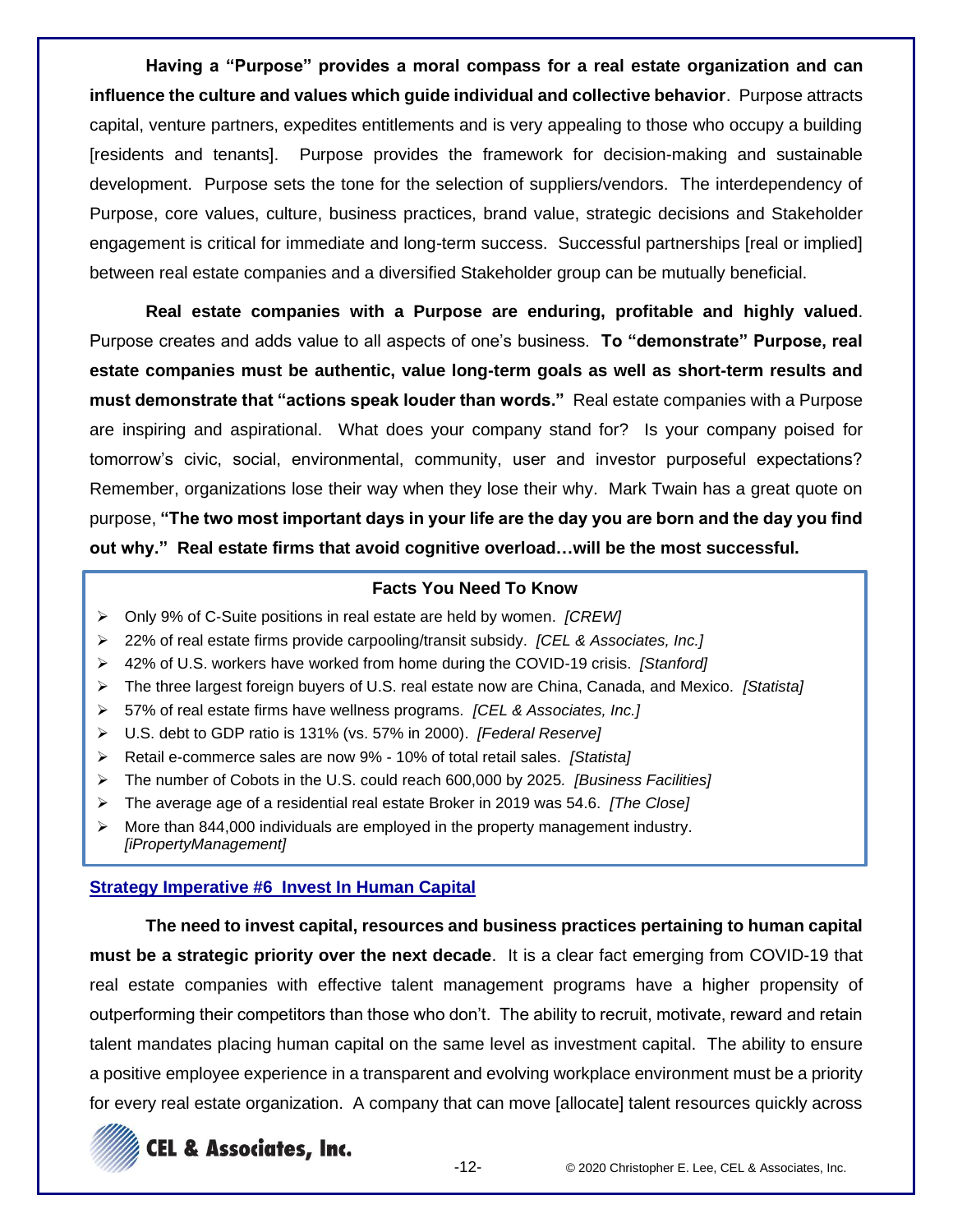**Having a "Purpose" provides a moral compass for a real estate organization and can influence the culture and values which guide individual and collective behavior**. Purpose attracts capital, venture partners, expedites entitlements and is very appealing to those who occupy a building [residents and tenants]. Purpose provides the framework for decision-making and sustainable development. Purpose sets the tone for the selection of suppliers/vendors. The interdependency of Purpose, core values, culture, business practices, brand value, strategic decisions and Stakeholder engagement is critical for immediate and long-term success. Successful partnerships [real or implied] between real estate companies and a diversified Stakeholder group can be mutually beneficial.

**Real estate companies with a Purpose are enduring, profitable and highly valued**. Purpose creates and adds value to all aspects of one's business. **To "demonstrate" Purpose, real estate companies must be authentic, value long-term goals as well as short-term results and must demonstrate that "actions speak louder than words."** Real estate companies with a Purpose are inspiring and aspirational. What does your company stand for? Is your company poised for tomorrow's civic, social, environmental, community, user and investor purposeful expectations? Remember, organizations lose their way when they lose their why. Mark Twain has a great quote on purpose, **"The two most important days in your life are the day you are born and the day you find out why." Real estate firms that avoid cognitive overload…will be the most successful.**

# **Facts You Need To Know**

- ➢ Only 9% of C-Suite positions in real estate are held by women. *[CREW]*
- ➢ 22% of real estate firms provide carpooling/transit subsidy. *[CEL & Associates, Inc.]*
- ➢ 42% of U.S. workers have worked from home during the COVID-19 crisis. *[Stanford]*
- ➢ The three largest foreign buyers of U.S. real estate now are China, Canada, and Mexico. *[Statista]*
- ➢ 57% of real estate firms have wellness programs*. [CEL & Associates, Inc.]*
- ➢ U.S. debt to GDP ratio is 131% (vs. 57% in 2000). *[Federal Reserve]*
- ➢ Retail e-commerce sales are now 9% 10% of total retail sales. *[Statista]*
- ➢ The number of Cobots in the U.S. could reach 600,000 by 2025*. [Business Facilities]*
- ➢ The average age of a residential real estate Broker in 2019 was 54.6. *[The Close]*
- $\triangleright$  More than 844,000 individuals are employed in the property management industry. *[iPropertyManagement]*

### **Strategy Imperative #6 Invest In Human Capital**

**The need to invest capital, resources and business practices pertaining to human capital must be a strategic priority over the next decade**. It is a clear fact emerging from COVID-19 that real estate companies with effective talent management programs have a higher propensity of outperforming their competitors than those who don't. The ability to recruit, motivate, reward and retain talent mandates placing human capital on the same level as investment capital. The ability to ensure a positive employee experience in a transparent and evolving workplace environment must be a priority for every real estate organization. A company that can move [allocate] talent resources quickly across

# **CEL & Associates, Inc.**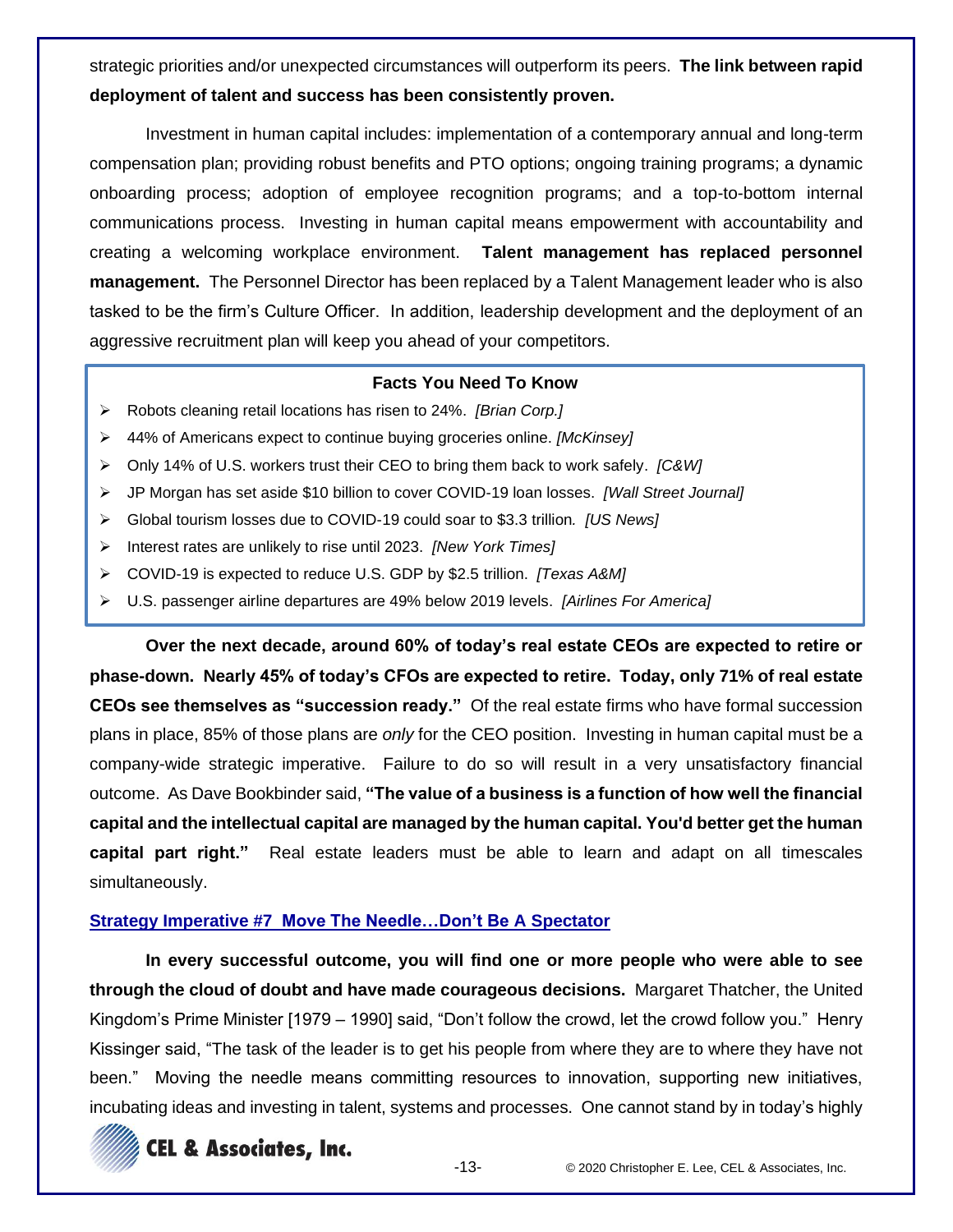strategic priorities and/or unexpected circumstances will outperform its peers. **The link between rapid deployment of talent and success has been consistently proven.**

Investment in human capital includes: implementation of a contemporary annual and long-term compensation plan; providing robust benefits and PTO options; ongoing training programs; a dynamic onboarding process; adoption of employee recognition programs; and a top-to-bottom internal communications process. Investing in human capital means empowerment with accountability and creating a welcoming workplace environment. **Talent management has replaced personnel management.** The Personnel Director has been replaced by a Talent Management leader who is also tasked to be the firm's Culture Officer. In addition, leadership development and the deployment of an aggressive recruitment plan will keep you ahead of your competitors.

# **Facts You Need To Know**

- ➢ Robots cleaning retail locations has risen to 24%. *[Brian Corp.]*
- ➢ 44% of Americans expect to continue buying groceries online. *[McKinsey]*
- ➢ Only 14% of U.S. workers trust their CEO to bring them back to work safely. *[C&W]*
- ➢ JP Morgan has set aside \$10 billion to cover COVID-19 loan losses. *[Wall Street Journal]*
- ➢ Global tourism losses due to COVID-19 could soar to \$3.3 trillion*. [US News]*
- ➢ Interest rates are unlikely to rise until 2023. *[New York Times]*
- ➢ COVID-19 is expected to reduce U.S. GDP by \$2.5 trillion. *[Texas A&M]*
- ➢ U.S. passenger airline departures are 49% below 2019 levels. *[Airlines For America]*

**Over the next decade, around 60% of today's real estate CEOs are expected to retire or phase-down. Nearly 45% of today's CFOs are expected to retire. Today, only 71% of real estate CEOs see themselves as "succession ready."** Of the real estate firms who have formal succession plans in place, 85% of those plans are *only* for the CEO position. Investing in human capital must be a company-wide strategic imperative. Failure to do so will result in a very unsatisfactory financial outcome. As Dave Bookbinder said, **"The value of a business is a function of how well the financial capital and the intellectual capital are managed by the human capital. You'd better get the human capital part right."** Real estate leaders must be able to learn and adapt on all timescales simultaneously.

# **Strategy Imperative #7 Move The Needle…Don't Be A Spectator**

**In every successful outcome, you will find one or more people who were able to see through the cloud of doubt and have made courageous decisions.** Margaret Thatcher, the United Kingdom's Prime Minister [1979 – 1990] said, "Don't follow the crowd, let the crowd follow you." Henry Kissinger said, "The task of the leader is to get his people from where they are to where they have not been." Moving the needle means committing resources to innovation, supporting new initiatives, incubating ideas and investing in talent, systems and processes. One cannot stand by in today's highly

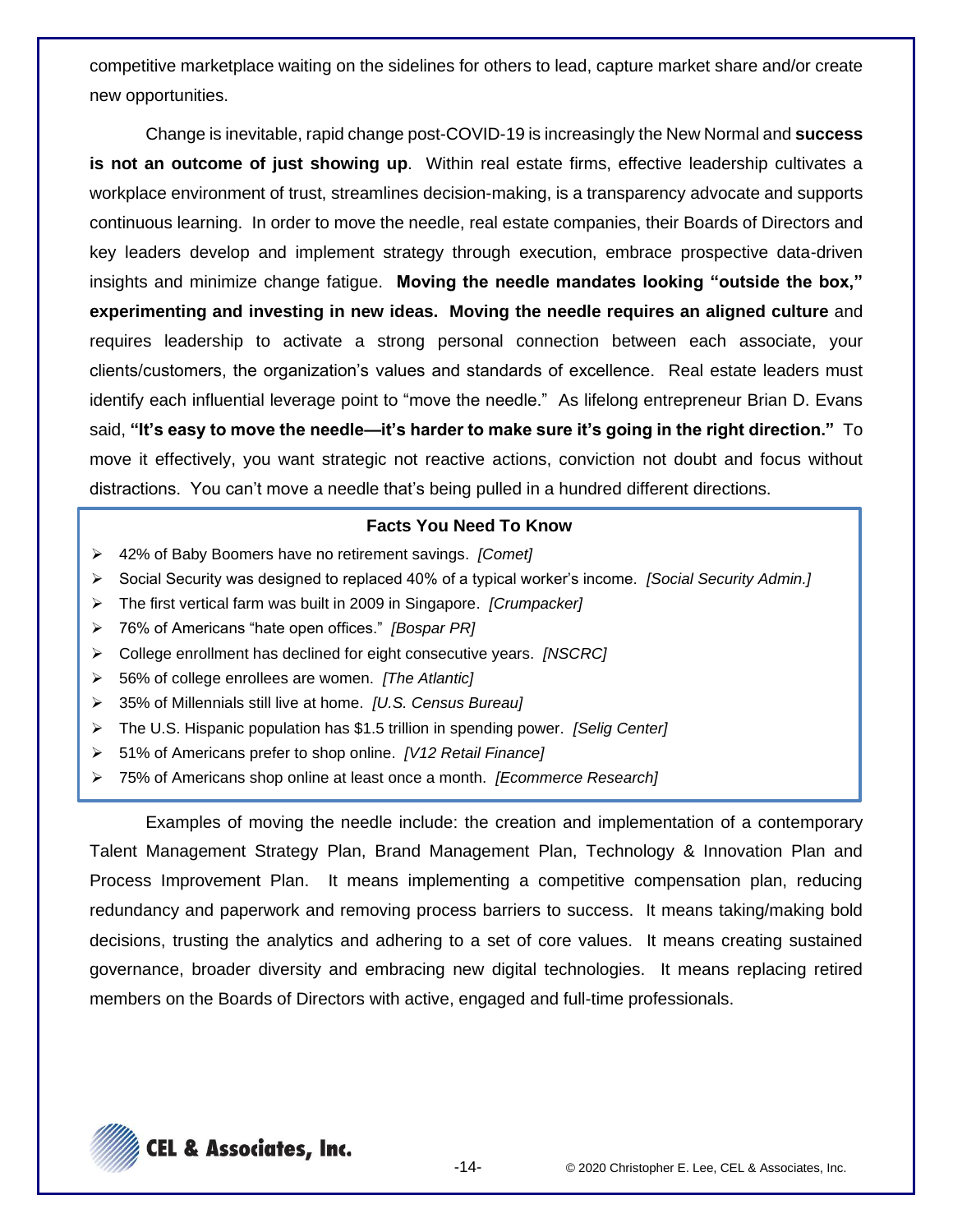competitive marketplace waiting on the sidelines for others to lead, capture market share and/or create new opportunities.

Change is inevitable, rapid change post-COVID-19 is increasingly the New Normal and **success is not an outcome of just showing up**. Within real estate firms, effective leadership cultivates a workplace environment of trust, streamlines decision-making, is a transparency advocate and supports continuous learning. In order to move the needle, real estate companies, their Boards of Directors and key leaders develop and implement strategy through execution, embrace prospective data-driven insights and minimize change fatigue. **Moving the needle mandates looking "outside the box," experimenting and investing in new ideas. Moving the needle requires an aligned culture** and requires leadership to activate a strong personal connection between each associate, your clients/customers, the organization's values and standards of excellence. Real estate leaders must identify each influential leverage point to "move the needle." As lifelong entrepreneur Brian D. Evans said, **"It's easy to move the needle—it's harder to make sure it's going in the right direction."** To move it effectively, you want strategic not reactive actions, conviction not doubt and focus without distractions. You can't move a needle that's being pulled in a hundred different directions.

### **Facts You Need To Know**

- ➢ 42% of Baby Boomers have no retirement savings. *[Comet]*
- ➢ Social Security was designed to replaced 40% of a typical worker's income. *[Social Security Admin.]*
- ➢ The first vertical farm was built in 2009 in Singapore. *[Crumpacker]*
- ➢ 76% of Americans "hate open offices." *[Bospar PR]*
- ➢ College enrollment has declined for eight consecutive years. *[NSCRC]*
- ➢ 56% of college enrollees are women. *[The Atlantic]*
- ➢ 35% of Millennials still live at home. *[U.S. Census Bureau]*
- ➢ The U.S. Hispanic population has \$1.5 trillion in spending power. *[Selig Center]*
- ➢ 51% of Americans prefer to shop online. *[V12 Retail Finance]*
- ➢ 75% of Americans shop online at least once a month. *[Ecommerce Research]*

Examples of moving the needle include: the creation and implementation of a contemporary Talent Management Strategy Plan, Brand Management Plan, Technology & Innovation Plan and Process Improvement Plan. It means implementing a competitive compensation plan, reducing redundancy and paperwork and removing process barriers to success. It means taking/making bold decisions, trusting the analytics and adhering to a set of core values. It means creating sustained governance, broader diversity and embracing new digital technologies. It means replacing retired members on the Boards of Directors with active, engaged and full-time professionals.

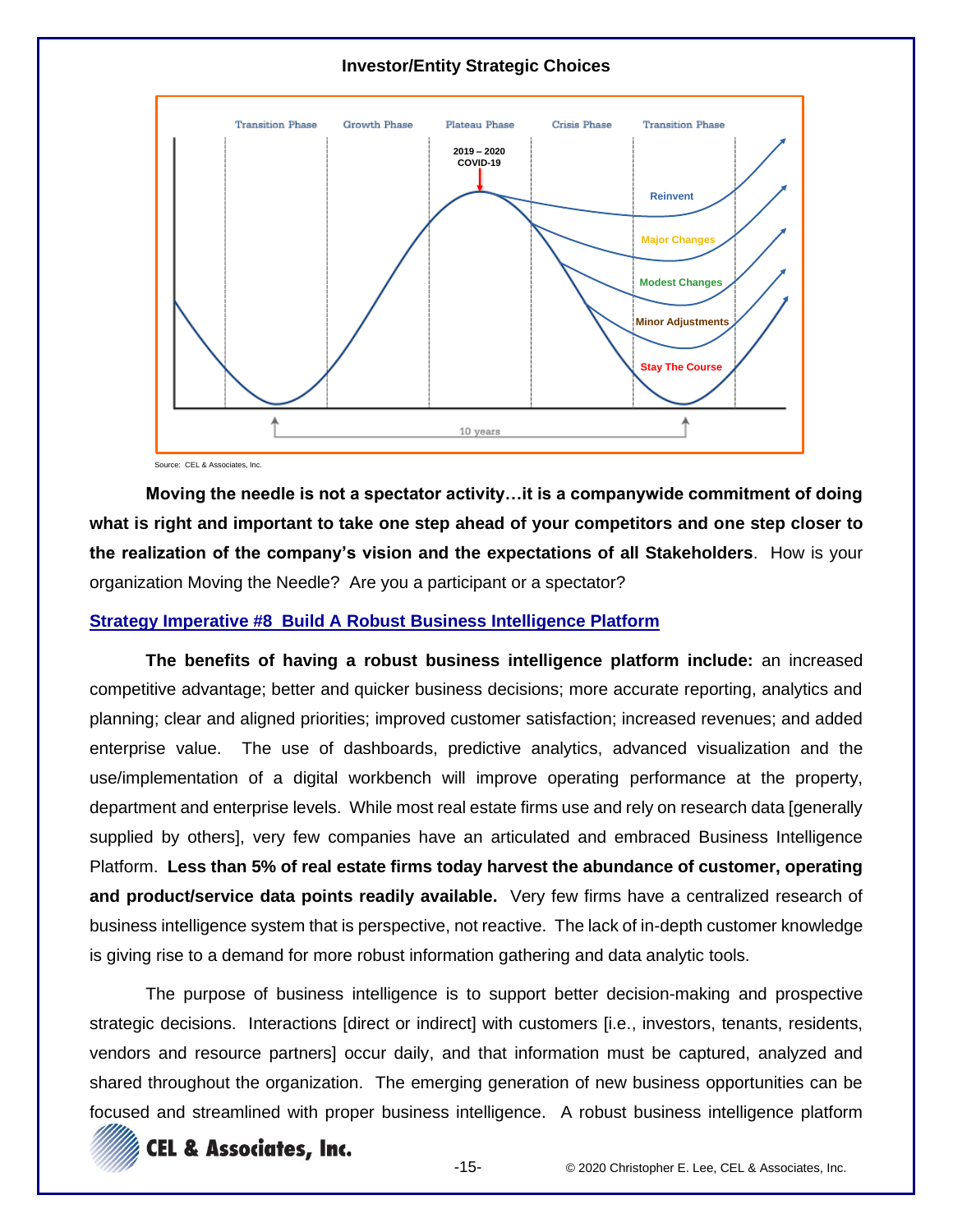# **Investor/Entity Strategic Choices**



Source: CEL & Associates, Inc.

**Moving the needle is not a spectator activity…it is a companywide commitment of doing what is right and important to take one step ahead of your competitors and one step closer to the realization of the company's vision and the expectations of all Stakeholders**. How is your organization Moving the Needle? Are you a participant or a spectator?

### **Strategy Imperative #8 Build A Robust Business Intelligence Platform**

**The benefits of having a robust business intelligence platform include:** an increased competitive advantage; better and quicker business decisions; more accurate reporting, analytics and planning; clear and aligned priorities; improved customer satisfaction; increased revenues; and added enterprise value. The use of dashboards, predictive analytics, advanced visualization and the use/implementation of a digital workbench will improve operating performance at the property, department and enterprise levels. While most real estate firms use and rely on research data [generally supplied by others], very few companies have an articulated and embraced Business Intelligence Platform. **Less than 5% of real estate firms today harvest the abundance of customer, operating and product/service data points readily available.** Very few firms have a centralized research of business intelligence system that is perspective, not reactive. The lack of in-depth customer knowledge is giving rise to a demand for more robust information gathering and data analytic tools.

The purpose of business intelligence is to support better decision-making and prospective strategic decisions. Interactions [direct or indirect] with customers [i.e., investors, tenants, residents, vendors and resource partners] occur daily, and that information must be captured, analyzed and shared throughout the organization. The emerging generation of new business opportunities can be focused and streamlined with proper business intelligence. A robust business intelligence platform

# **CEL & Associates, Inc.**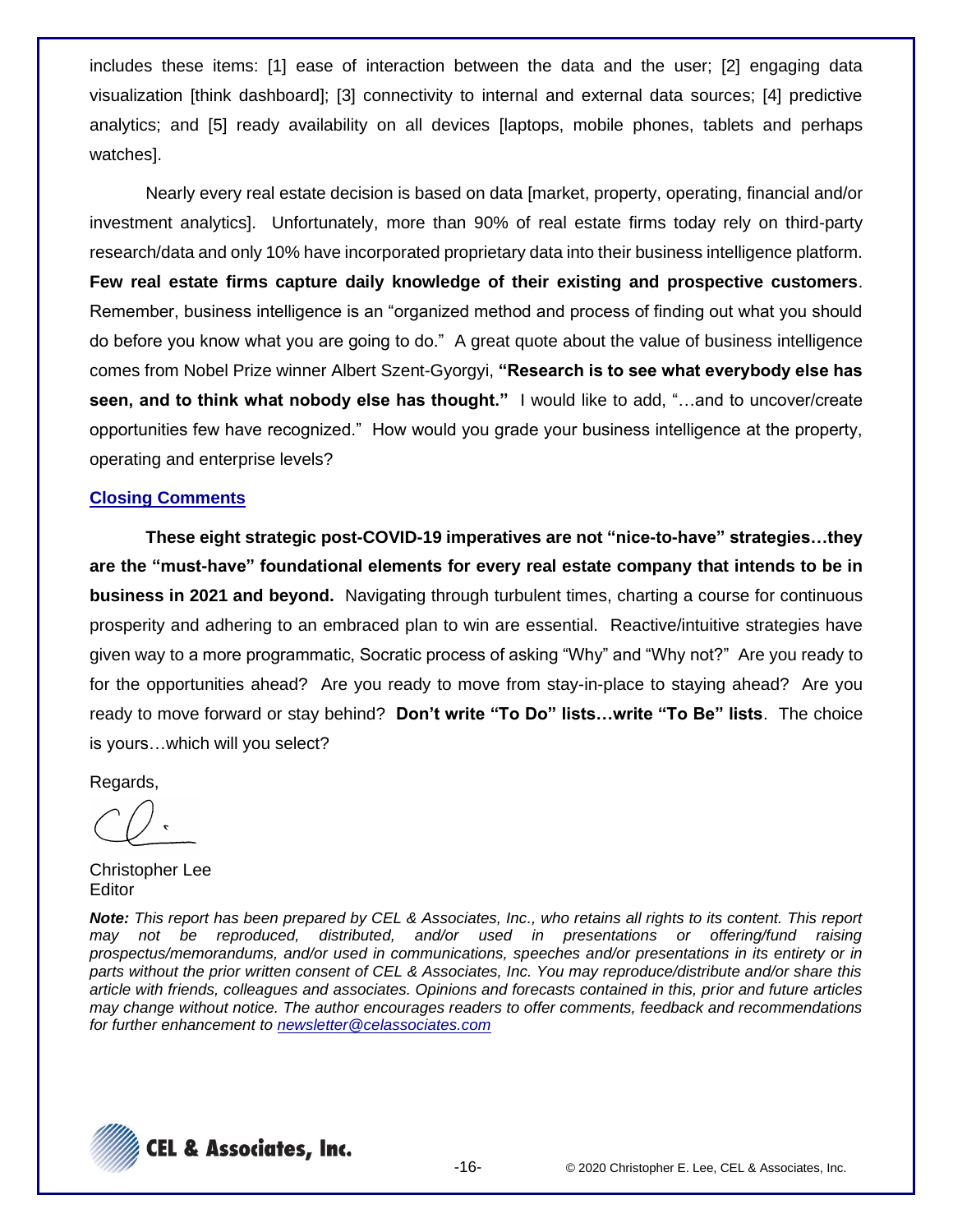includes these items: [1] ease of interaction between the data and the user; [2] engaging data visualization [think dashboard]; [3] connectivity to internal and external data sources; [4] predictive analytics; and [5] ready availability on all devices [laptops, mobile phones, tablets and perhaps watches].

Nearly every real estate decision is based on data [market, property, operating, financial and/or investment analytics]. Unfortunately, more than 90% of real estate firms today rely on third-party research/data and only 10% have incorporated proprietary data into their business intelligence platform. **Few real estate firms capture daily knowledge of their existing and prospective customers**. Remember, business intelligence is an "organized method and process of finding out what you should do before you know what you are going to do." A great quote about the value of business intelligence comes from Nobel Prize winner Albert Szent-Gyorgyi, **"Research is to see what everybody else has seen, and to think what nobody else has thought."** I would like to add, "…and to uncover/create opportunities few have recognized." How would you grade your business intelligence at the property, operating and enterprise levels?

### **Closing Comments**

**These eight strategic post-COVID-19 imperatives are not "nice-to-have" strategies…they are the "must-have" foundational elements for every real estate company that intends to be in business in 2021 and beyond.** Navigating through turbulent times, charting a course for continuous prosperity and adhering to an embraced plan to win are essential. Reactive/intuitive strategies have given way to a more programmatic, Socratic process of asking "Why" and "Why not?" Are you ready to for the opportunities ahead? Are you ready to move from stay-in-place to staying ahead? Are you ready to move forward or stay behind? **Don't write "To Do" lists…write "To Be" lists**. The choice is yours…which will you select?

Regards,

Christopher Lee Editor

*Note: This report has been prepared by CEL & Associates, Inc., who retains all rights to its content. This report may not be reproduced, distributed, and/or used in presentations or offering/fund raising prospectus/memorandums, and/or used in communications, speeches and/or presentations in its entirety or in parts without the prior written consent of CEL & Associates, Inc. You may reproduce/distribute and/or share this article with friends, colleagues and associates. Opinions and forecasts contained in this, prior and future articles may change without notice. The author encourages readers to offer comments, feedback and recommendations for further enhancement to [newsletter@celassociates.com](mailto:newsletter@celassociates.com)*

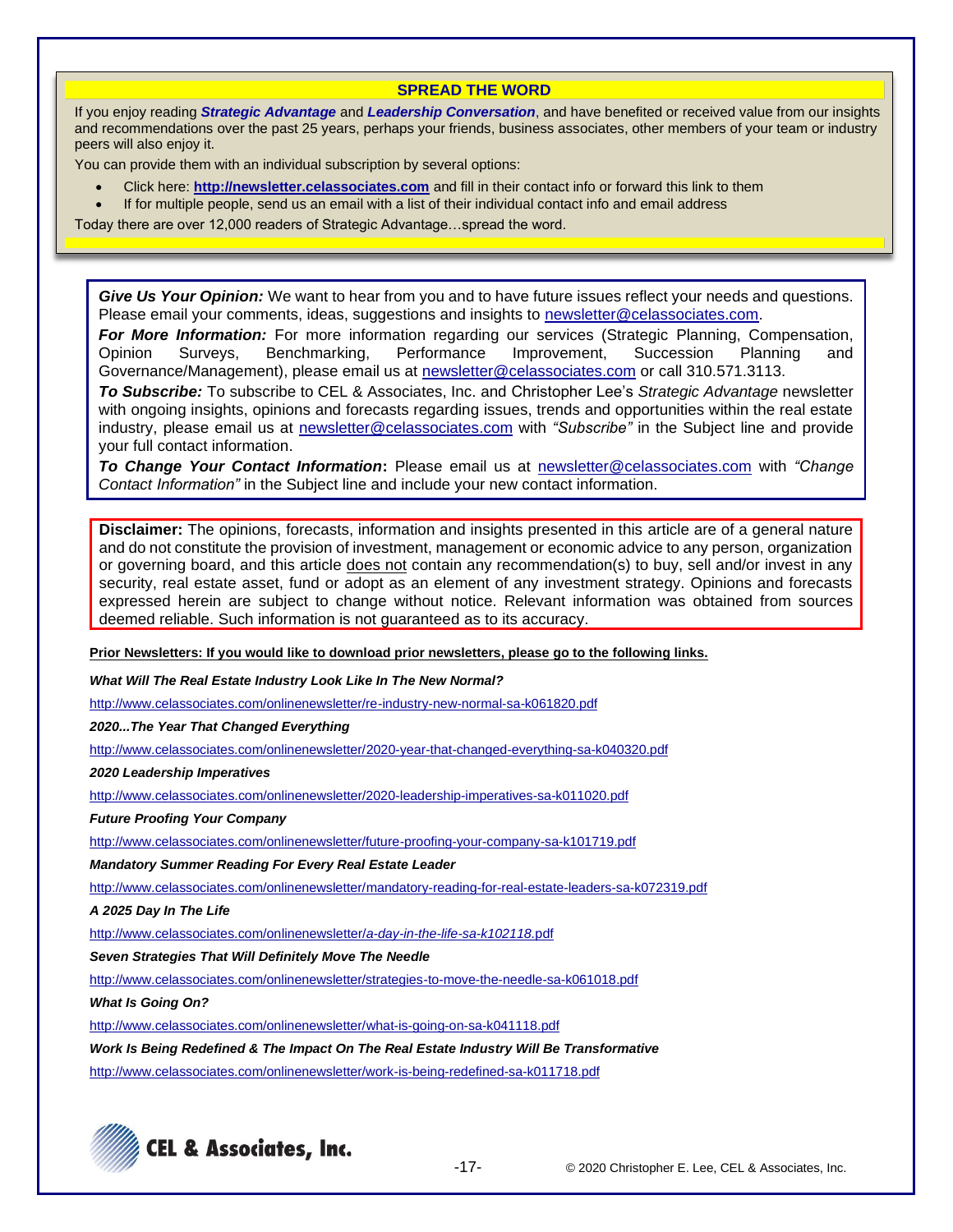#### **SPREAD THE WORD**

If you enjoy reading *Strategic Advantage* and *Leadership Conversation*, and have benefited or received value from our insights and recommendations over the past 25 years, perhaps your friends, business associates, other members of your team or industry peers will also enjoy it.

You can provide them with an individual subscription by several options:

- Click here: **http://newsletter.celassociates.com** and fill in their contact info or forward this link to them
- If for multiple people, send us an email with a list of their individual contact info and email address

Today there are over 12,000 readers of Strategic Advantage…spread the word.

*Give Us Your Opinion:* We want to hear from you and to have future issues reflect your needs and questions. Please email your comments, ideas, suggestions and insights to newsletter@celassociates.com.

*For More Information:* For more information regarding our services (Strategic Planning, Compensation, Opinion Surveys, Benchmarking, Performance Improvement, Succession Planning and Governance/Management), please email us at newsletter@celassociates.com or call 310.571.3113.

*To Subscribe:* To subscribe to CEL & Associates, Inc. and Christopher Lee's *Strategic Advantage* newsletter with ongoing insights, opinions and forecasts regarding issues, trends and opportunities within the real estate industry, please email us at newsletter@celassociates.com with *"Subscribe"* in the Subject line and provide your full contact information.

*To Change Your Contact Information***:** Please email us at newsletter@celassociates.com with *"Change Contact Information"* in the Subject line and include your new contact information.

**Disclaimer:** The opinions, forecasts, information and insights presented in this article are of a general nature and do not constitute the provision of investment, management or economic advice to any person, organization or governing board, and this article does not contain any recommendation(s) to buy, sell and/or invest in any security, real estate asset, fund or adopt as an element of any investment strategy. Opinions and forecasts expressed herein are subject to change without notice. Relevant information was obtained from sources deemed reliable. Such information is not guaranteed as to its accuracy.

**Prior Newsletters: If you would like to download prior newsletters, please go to the following links.**

*What Will The Real Estate Industry Look Like In The New Normal?*

<http://www.celassociates.com/onlinenewsletter/re-industry-new-normal-sa-k061820.pdf>

*2020...The Year That Changed Everything*

[http://www.celassociates.com/onlinenewsletter/2020-year-that-changed-everything-sa-k040320.pdf](http://www.celassociates.com/onlinenewsletter/2020-leadership-imperatives-sa-k011020.pdf)

*2020 Leadership Imperatives*

<http://www.celassociates.com/onlinenewsletter/2020-leadership-imperatives-sa-k011020.pdf>

*Future Proofing Your Company*

<http://www.celassociates.com/onlinenewsletter/future-proofing-your-company-sa-k101719.pdf>

*Mandatory Summer Reading For Every Real Estate Leader*

<http://www.celassociates.com/onlinenewsletter/mandatory-reading-for-real-estate-leaders-sa-k072319.pdf>

*A 2025 Day In The Life*

[http://www.celassociates.com/onlinenewsletter/](http://www.celassociates.com/onlinenewsletter/a-day-in-the-life-sa-k102118.pdf)*a-day-in-the-life-sa-k102118.*pdf

*Seven Strategies That Will Definitely Move The Needle* 

<http://www.celassociates.com/onlinenewsletter/strategies-to-move-the-needle-sa-k061018.pdf>

*What Is Going On?*

[http://www.celassociates.com/onlinenewsletter/what-is-going-on-sa-k041118.pdf](http://www.celassociates.com/onlinenewsletter/work-is-being-redefined-sa-k011718.pdf.pdf)

*Work Is Being Redefined & The Impact On The Real Estate Industry Will Be Transformative* [http://www.celassociates.com/onlinenewsletter/work-is-being-redefined-sa-k011718.pdf](http://www.celassociates.com/onlinenewsletter/work-is-being-redefined-sa-k011718.pdf.pdf)